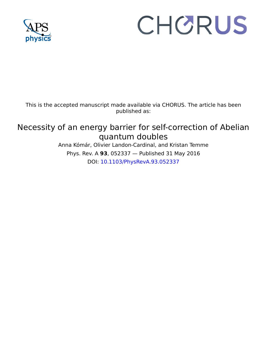

# CHORUS

This is the accepted manuscript made available via CHORUS. The article has been published as:

# Necessity of an energy barrier for self-correction of Abelian quantum doubles

Anna Kómár, Olivier Landon-Cardinal, and Kristan Temme Phys. Rev. A **93**, 052337 — Published 31 May 2016 DOI: [10.1103/PhysRevA.93.052337](http://dx.doi.org/10.1103/PhysRevA.93.052337)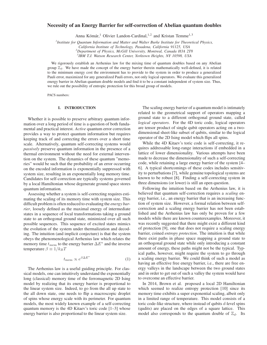# Necessity of an Energy Barrier for self-correction of Abelian quantum doubles

Anna Kómár,<sup>1</sup> Olivier Landon-Cardinal,<sup>1,2</sup> and Kristan Temme<sup>1,3</sup>

*1 Institute for Quantum Information and Matter and Walter Burke Institute for Theoretical Physics,*

*California Institute of Technology, Pasadena, California 91125, USA*

*<sup>2</sup>Department of Physics, McGill University, Montreal, Canada H3A 2T8*

*3 IBM T.J. Watson Research Center, Yorktown Heights, NY 10598, USA*

We rigorously establish an Arrhenius law for the mixing time of quantum doubles based on any Abelian group  $\mathbb{Z}_d$ . We have made the concept of the energy barrier therein mathematically well-defined, it is related to the minimum energy cost the environment has to provide to the system in order to produce a generalized Pauli error, maximized for any generalized Pauli errors, not only logical operators. We evaluate this generalized energy barrier in Abelian quantum double models and find it to be a constant independent of system size. Thus, we rule out the possibility of entropic protection for this broad group of models.

PACS numbers:

# I. INTRODUCTION

Whether it is possible to preserve arbitrary quantum information over a long period of time is a question of both fundamental and practical interest. *Active* quantum error correction provides a way to protect quantum information but requires keeping track of and correcting the errors over a short time scale. Alternatively, quantum self-correcting systems would *passively* preserve quantum information in the presence of a thermal environment without the need for external intervention on the system. The dynamics of these quantum "memories" would be such that the probability of an error occurring on the encoded information is exponentially suppressed with system size, resulting in an exponentially long memory time. Candidates for self-correction are typically systems governed by a local Hamiltonian whose degenerate ground space stores quantum information.

Assessing whether a system is self-correcting requires estimating the scaling of its memory time with system size. This difficult problem is often reduced to evaluating the *energy barrier*, loosely defined as the maximal energy of intermediate states in a sequence of local transformations taking a ground state to an orthogonal ground state, minimized over all such possible sequences. This sequence of excited states mimics the evolution of the system under thermalization and decoding. The intuition (and implicit conjecture) is that the system obeys the phenomenological Arrhenius law which relates the memory time  $t_{\text{mem}}$  to the energy barrier  $\Delta E^*$  and the inverse temperature  $\beta \equiv 1/k_BT$ 

$$
t_{\text{mem}} \propto e^{\beta \Delta E^*} \tag{1}
$$

The Arrhenius law is a useful guiding principle. For classical models, one can intuitively understand the exponentially long (classical) memory time of the ferromagnetic 2D Ising model by realizing that its energy barrier is proportional to the linear system size. Indeed, to go from the all up state to the all down state, one needs to flip a macroscopic droplet of spins whose energy scale with its perimeter. For quantum models, the most widely known example of a self-correcting quantum memory is the 4D Kitaev's toric code [1–3] whose energy barrier is also proportional to the linear system size.

The scaling energy barrier of a quantum model is intimately related to the geometrical support of operators mapping a ground state to a different orthogonal ground state, called *logical operators*. For the 4D toric code, logical operators are tensor product of single qubit operators acting on a twodimensional sheet-like subset of qubits, similar to the logical operator of the 2D Ising model which flips all spins.

While the 4D Kitaev's toric code is self-correcting, it requires addressable long-range interactions if embedded in a lattice of lower dimensionality. Various attempts have been made to decrease the dimensionality of such a self-correcting code, while retaining a large energy barrier of the system [4– 6]. A typical shortcomings of these codes includes sensitivity to perturbations [7], while genuine topological systems are known to be robust [8]. Finding a self-correcting system in three dimensions (or lower) is still an open question.

Following the intuition based on the Arrhenius law, it is believed that quantum self-correction requires a *scaling* energy barrier, i.e., an energy barrier that is an increasing function of system size. However, a formal relation between selfcorrection and a scaling energy barrier has not been established and the Arrhenius law has only be proven for a few models while there are known counterexamples. Moreover, it was recently suggested that there might exist a different kind of protection [9], one that does not require a scaling energy barrier, coined *entropy protection*. The intuition is that while there exist paths in phase space mapping a ground state to an orthogonal ground state while only introducing a constant amount of energy, these paths might not be the typical. Typical paths, however, might require the system to go through a scaling energy barrier. We could think of such a model as having an effective free energy barrier, i.e., there are free energy valleys in the landscape between the two ground states and in order to get out of such a valley the system would have to overcome an effective barrier.

In 2014, Brown et al. proposed a local 2D Hamiltonian which seemed to realize entropy protection [10] since its memory time exhibits a super exponential scaling, albeit only in a limited range of temperature. This model consists of a toric code-like structure, where instead of qubits d-level spins (qudits) are placed on the edges of a square lattice. This model also corresponds to the quantum double of  $\mathbb{Z}_d$ . Its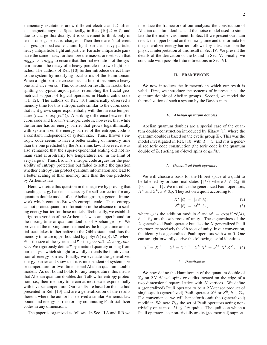elementary excitations are  $d$  different electric and  $d$  different magnetic anyons. Specifically, in Ref. [10]  $d = 5$ , and due to charge-flux duality, it is convenient to think only in terms of e.g. electric charges. Then there are 5 different charges, grouped as: vacuum, light particle, heavy particle, heavy antiparticle, light antiparticle. Particle-antiparticle pairs have the same mass, furthermore the masses are set such that  $m_{\text{heavy}} > 2m_{\text{light}}$  to ensure that thermal evolution of the system favours the decay of a heavy particle into two light particles. The authors of Ref. [10] further introduce defect lines to the system by modifying local terms of the Hamiltonian. When a light particle crosses such a line, it becomes a heavy one and vice versa. This construction results in fractal-like splitting of typical anyon-paths, resembling the fractal geometrical support of logical operators in Haah's cubic code [11, 12]. The authors of Ref. [10] numerically observed a memory time for this entropic code similar to the cubic code, that is, it grows super-exponentially with the inverse temperature  $(t_{\text{mem}} \propto \exp(c\beta^2))$ . A striking difference between the cubic code and Brown's entropic code is, however, that while the former has an energy barrier that grows logarithmically with system size, the energy barrier of the entropic code is a constant, independent of system size. Thus, Brown's entropic code seems to have a better scaling of memory time than the one predicted by the Arrhenius law. However, it was also remarked that the super-exponential scaling did not remain valid at arbitrarily low temperature, i.e. in the limit of very large  $\beta$ . Thus, Brown's entropic code argues for the possibility of entropy protection but failed to settle the question whether entropy can protect quantum information and lead to a better scaling of than memory time than the one predicted by Arrhenius law.

Here, we settle this question in the negative by proving that a scaling energy barrier is necessary for self-correction for any quantum double model of an Abelian group, a general framework which contains Brown's entropic code. Thus, entropy cannot protect quantum information in the absence of a scaling energy barrier for those models. Technically, we establish a rigorous version of the Arrhenius law as an upper bound for the mixing time of quantum doubles of Abelian groups. We prove that the mixing time –defined as the longest time an initial state takes to thermalize to the Gibbs state– and thus the memory time are upper bounded by  $poly(N)$  exp( $2\beta\bar{\epsilon}$ ) where N is the size of the system and  $\overline{\epsilon}$  is the *generalized energy barrier*. We rigorously define  $\bar{\epsilon}$  by a natural quantity arising from our analysis which straightforwardly extends the intuitive notion of energy barrier. Finally, we evaluate the generalized energy barrier and show that it is independent of system size or temperature for two-dimensional Abelian quantum double models. As our bound holds for any temperature, this means that Abelian quantum doubles don't allow for entropy protection, i.e., their memory time can at most scale exponentially with inverse temperature. Our results are based on the method presented in Ref. [13] and are a generalization of the results therein, where the author has derived a similar Arrhenius law bound and energy barrier for any commuting Pauli stabilizer codes in any dimensions.

The paper is organized as follows. In Sec. II A and II B we

introduce the framework of our analysis: the construction of Abelian quantum doubles and the noise model used to simulate the thermal environment. In Sec. III we present our main result: the upper bound on the mixing time and the formula for the generalized energy barrier, followed by a discussion on the physical interpretation of this result in Sec. IV. We present the details of the derivation of the bound in Sec. V. Finally, we conclude with possible future directions in Sec. VI.

# II. FRAMEWORK

We now introduce the framework in which our result is valid. First, we introduce the systems of interests, i.e. the quantum double of Abelian groups. Second, we model the thermalization of such a system by the Davies map.

#### A. Abelian quantum doubles

Abelian quantum doubles are a special case of the quantum double construction introduced by Kitaev [1], where the quantum double is based on the cyclic group  $\mathbb{Z}_d$ . This was the model investigated in Ref. [10] with  $d = 5$ , and it is a generalized toric code construction (the toric code is the quantum double of  $\mathbb{Z}_2$ ) acting on d-level spins or *qudits*.

#### *1. Generalized Pauli operators*

We will choose a basis for the Hilbert space of a qudit to be labelled by orthonormal states  $\{|\ell\rangle\}$  where  $\ell \in \mathbb{Z}_d \cong$  $\{0, \ldots, d-1\}$ . We introduce the generalized Pauli operators,  $X^k$  and  $Z^k$ ,  $k \in \mathbb{Z}_d$ . They act on a qudit according to:

$$
X^k |\ell\rangle = |\ell \oplus k\rangle, \qquad (2)
$$

$$
Z^k | \ell \rangle = \omega^{k\ell} | \ell \rangle, \qquad (3)
$$

where  $\oplus$  is the addition modulo d and  $\omega^{\ell} = \exp(i2\pi\ell/d)$ ,  $\ell \in \mathbb{Z}_d$  are the dth roots of unity. The eigenvalues of the  $Z$  generalized Pauli operator but also the  $X$  generalized Pauli operator are precisely the dth roots of unity. In our convention, the identity is a generalized Pauli operators with  $k = 0$ . One can straightforwardly derive the following useful identities

$$
X^{\dagger} = X^{d-1} \quad Z^{\dagger} = Z^{d-1} \quad Z^{k'} X^{k} = \omega^{kk'} X^{k} Z^{k'}.
$$
 (4)

#### *2. Hamiltonian*

We now define the Hamiltonian of the quantum double of  $\mathbb{Z}_d$  on 2N d-level spins or qudits located on the edge of a two dimensional square lattice with  $N$  vertices. We define a (generalized) Pauli operator to be a 2N-tensor product of single-qudit (generalized) Pauli operator  $X^k$  or  $Z^k$ ,  $k \in \mathbb{Z}_d$ . For convenience, we will henceforth omit the (generalized) modifier. We note  $\mathcal{P}_M$  the set of Pauli operators acting nontrivially on at most  $M \leq 2N$  qudits. The qudits on which a Pauli operator acts non-trivially are its (geometrical) support.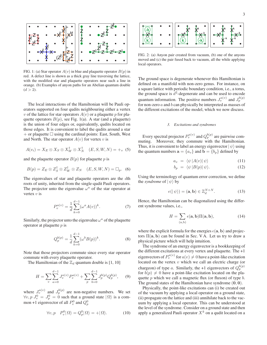

FIG. 1: (a) Star operator  $A(v)$  in blue and plaquette operator  $B(p)$  in red. A defect line is shown as a thick gray line traversing the lattice, with the modified star and plaquette operators near such a line in orange. (b) Examples of anyon paths for an Abelian quantum double  $(d > 2)$ .

The local interactions of the Hamiltonian will be Pauli operators supported on four qudits neighbouring either a vertex v of the lattice for star operators  $A(v)$  or a plaquette p for plaquette operators  $B(p)$ , see Fig. 1(a). A star (and a plaquette) is the union of four edges or, equivalently, qudits located on those edges. It is convenient to label the qudits around a star  $+$  or plaquette  $\Box$  using the cardinal points: East, South, West and North. The star operator  $A(v)$  for vertex v is

$$
A(v_i) = X_E \otimes X_S \otimes X_W^{\dagger} \otimes X_N^{\dagger} \quad (E, S, W, N) = +_v (5)
$$

and the plaquette operator  $B(p)$  for plaquette p is

$$
B(p) = Z_E \otimes Z_S^{\dagger} \otimes Z_W^{\dagger} \otimes Z_N \quad (E, S, W, N) = \Box_p. \tag{6}
$$

The eigenvalues of star and plaquette operators are the dth roots of unity, inherited from the single-qudit Pauli operators. The projector unto the eigenvalue  $\omega^a$  of the star operator at vertex  $v$  is

$$
P_v^{a(v)} = \frac{1}{d} \sum_{k=0}^{d-1} (\omega^a A(v))^k.
$$
 (7)

Similarly, the projector unto the eigenvalue  $\omega^a$  of the plaquette operator at plaquette  $p$  is

$$
Q_p^{b(p)} = \frac{1}{d} \sum_{k=0}^{d-1} (\omega^b B(p))^k.
$$
 (8)

Note that those projectors commute since every star operator commute with every plaquette operator.

The Hamiltonian of the  $\mathbb{Z}_d$  quantum double is [1, 10]

$$
H = \sum_{v} \sum_{a=0}^{d-1} J_v^{a(v)} P_v^{a(v)} + \sum_{p} \sum_{b=0}^{d-1} J_p^{b(p)} Q_p^{b(p)}, \quad (9)
$$

where  $J_v^{a(v)}$  and  $J_p^{b(p)}$  are non-negative numbers. We set  $\forall v, p \, J_v^0 = J_p^0 = 0$  such that a ground state  $|\Omega\rangle$  is a common +1 eigenvector of all  $P_v^0$  and  $Q_p^0$ 

$$
\forall v, p \quad P_v^0 | \Omega \rangle = Q_p^0 | \Omega \rangle = + | \Omega \rangle. \tag{10}
$$



FIG. 2: (a) Anyon pair created from vacuum, (b) one of the anyons moved and (c) the pair fused back to vacuum, all the while applying local operators.

The ground space is degenerate whenever this Hamiltonian is defined on a manifold with non-zero genus. For instance, on a square lattice with periodic boundary condition, i.e., a torus, the ground space is  $d^2$ -degenerate and can be used to encode quantum information. The positive numbers  $J_v^{a(v)}$  and  $J_p^{b(p)}$ for non-zero  $a$  and  $b$  can physically be interpreted as masses of the different excitations of the model, which we now discuss.

# *3. Excitations and syndromes*

Every spectral projector  $P_v^{a(v)}$  and  $Q_p^{b(p)}$  are pairwise commuting. Moreover, they commute with the Hamiltonian. Thus, it is convenient to label an energy eigenvector  $|\psi\rangle$  using the quantum numbers  $\mathbf{a} = \{a_v\}$  and  $\mathbf{b} = \{b_p\}$  defined by

$$
a_v = \langle \psi | A(v) | \psi \rangle \tag{11}
$$

$$
b_p = \langle \psi | B(p) | \psi \rangle. \tag{12}
$$

Using the terminology of quantum error correction, we define the *syndrome* of  $|\psi\rangle$  by

$$
e(|\psi\rangle) = (\mathbf{a}, \mathbf{b}) \in \mathbb{Z}_d^{N+N}.
$$
 (13)

Hence, the Hamiltonian can be diagonalized using the different syndrome values, i.e.,

$$
H = \sum_{(\mathbf{a}, \mathbf{b})} \epsilon(\mathbf{a}, \mathbf{b}) \Pi(\mathbf{a}, \mathbf{b}), \tag{14}
$$

where the explicit formula for the energies  $\epsilon(\mathbf{a}, \mathbf{b})$  and projectors  $\Pi(a, b)$  can be found in Sec. V A. Let us try to draw a physical picture which will help intuition.

The syndrome of an energy eigenvector is a bookkeeping of the different excitations at every vertex and plaquette. The +1 eigenvectors of  $P_v^{a(v)}$  for  $a(v) \neq 0$  have a point-like excitation located on the vertex  $v$  which we call an electric charge (or chargeon) of type a. Similarly, the +1 eigenvectors of  $Q_p^{b(p)}$ for  $b(p) \neq 0$  have a point-like excitation located on the plaquette  $p$  which we call a magnetic flux (or fluxon) of type  $b$ . The ground states of the Hamiltonian have syndrome  $(0, 0)$ .

Physically, the point-like excitations can (i) be created out of the vacuum by applying a local operator on a ground state, (ii) propagate on the lattice and (iii) annihilate back to the vacuum by applying a local operator. This can be understood at the level of the syndrome. Consider on a ground state and then apply a generalized Pauli operator  $X^k$  on a qudit located on a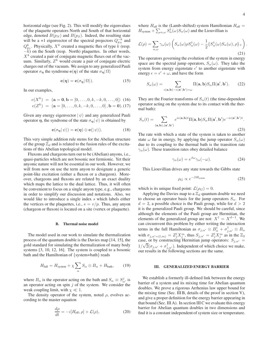4

horizontal edge (see Fig. 2). This will modify the eigenvalues of the plaquette operators North and South of that horizontal edge, denoted  $B(p_N)$  and  $B(p_S)$ . Indeed, the resulting state will be a +1 eigenvector of the spectral projectors  $Q_{p_N}^{-k}$  and  $Q_{p_S}^k$ . Physically,  $X^k$  created a magnetic flux of type k (resp.  $-k$ ) on the South (resp. North) plaquettes. In other words,  $X<sup>k</sup>$  created a pair of conjugate magnetic fluxes out of the vacuum. Similarly,  $Z^k$  would create a pair of conjugate electric charges out of the vacuum. We assign to any generalized Pauli operator  $\sigma_{\eta}$  the syndrome  $e(\eta)$  of the state  $\sigma_{\eta} |\Omega\rangle$ 

$$
\mathbf{e}(\boldsymbol{\eta}) = \mathbf{e}(\sigma_{\boldsymbol{\eta}} | \Omega \rangle). \tag{15}
$$

In our examples,

$$
e(X^{k}) = (\mathbf{a} = \mathbf{0}, \mathbf{b} = [0, ..., 0, k, -k, 0, ..., 0])
$$
 (16)  

$$
e(Z^{k}) = (\mathbf{a} = [0, ..., 0, k, -k, 0, ..., 0], \mathbf{b} = \mathbf{0}).
$$
 (17)

Given any energy eigenvector  $|\psi\rangle$  and any generalized Pauli operator  $\eta$ , the syndrome of the state  $\sigma_{\eta}|\psi\rangle$  is obtained by

$$
\mathbf{e}(\sigma_{\eta}|\,\psi\rangle) = \mathbf{e}(\eta) \oplus \mathbf{e}(|\,\psi\rangle). \tag{18}
$$

This very simple addition rule stems for the Abelian structure of the group  $\mathbb{Z}_d$  and is related to the fusion rules of the excitations of this Abelian topological model.

Fluxons and chargeons turn out to be (Abelian) anyons, i.e., quasi-particles which are not bosonic nor fermionic. Yet their anyonic nature will not be essential in our work. However, we will from now on use the term anyon to designate a generic point-like excitation (either a fluxon or a chargeon). Moreover, chargeons and fluxons are related by an exact duality which maps the lattice to the dual lattice. Thus, it will often be convenient to focus on a single anyon type, e.g., chargeons in order to simplify our discussion and notations. Also, we would like to introduce a single index s which labels either the vertices or the plaquettes, i.e.,  $s = v/p$ . Thus, any anyon (chargeon or fluxon) is located on a site (vertex or plaquette).

#### B. Thermal noise model

The model used in our work to simulate the thermalization process of the quantum double is the Davies map [14, 15], the gold standard for simulating the thermalization of many body systems [3, 10, 12, 16]. The system is coupled to a bosonic bath and the Hamiltonian of {system+bath} reads

$$
H_{\text{full}} = H_{\text{system}} + \chi \sum_{\alpha} S_{\alpha} \otimes B_{\alpha} + H_{\text{bath}}, \qquad (19)
$$

where  $B_{\alpha}$  is the operator acting on the bath and  $S_{\alpha} \equiv S_{\alpha'}^j$  is an operator acting on spin  $j$  of the system. We consider the weak coupling limit, with  $\chi \ll 1$ .

The density operator of the system, noted  $\rho$ , evolves according to the master equation

$$
\frac{d\rho}{dt} = -i[H_{\text{eff}}, \rho] + \mathcal{L}(\rho),\tag{20}
$$

where 
$$
H_{\text{eff}}
$$
 is the (Lamb-shifted) system Hamiltonian  $H_{\text{eff}} = H_{\text{system}} + \sum_{\alpha,\omega} S_{\alpha}^{\dagger}(\omega) S_{\alpha}(\omega)$  and the Liouvillian is

$$
\mathcal{L}(\rho) = \sum_{\alpha,\omega} \gamma_{\alpha}(\omega) \left( S_{\alpha}(\omega) \rho S_{\alpha}^{\dagger}(\omega) - \frac{1}{2} \{ S_{\alpha}^{\dagger}(\omega) S_{\alpha}(\omega), \rho \}_+ \right). \tag{21}
$$

The operators governing the evolution of the system in energy space are the spectral jump operators,  $S_\alpha(\omega)$ . They take the system from energy eigenstate  $\epsilon'$  to another eigenstate with energy  $\epsilon = \epsilon' + \omega$ , and have the form

$$
S_{\alpha}(\omega) = \sum_{\epsilon(\mathbf{a},\mathbf{b})-\epsilon(\mathbf{a}',\mathbf{b}')=\omega} \Pi(\mathbf{a},\mathbf{b}) S_{\alpha} \Pi(\mathbf{a}',\mathbf{b}'). \tag{22}
$$

They are the Fourier transforms of  $S_\alpha(t)$  (the time-dependent operator acting on the system due to its contact with the thermal bath):

$$
S_{\alpha}(t) = \sum_{(\mathbf{a},\mathbf{b}),(\mathbf{a}',\mathbf{b}')} e^{i\epsilon(\mathbf{a},\mathbf{b})t} \Pi(\mathbf{a},\mathbf{b}) S_{\alpha} \Pi(\mathbf{a}',\mathbf{b}') e^{-i\epsilon(\mathbf{a}',\mathbf{b}')t}.
$$
\n(23)

The rate with which a state of the system is taken to another state  $\omega$  far in energy, by applying the jump operator  $S_{\alpha}(\omega)$ due to its coupling to the thermal bath is the transition rate  $\gamma_{\alpha}(\omega)$ . These transition rates obey detailed balance

$$
\gamma_{\alpha}(\omega) = e^{\beta \omega} \gamma_{\alpha}(-\omega). \tag{24}
$$

This Liouvillian drives any state towards the Gibbs state

$$
\rho_G \propto e^{-\beta H_{\text{system}}} \tag{25}
$$

which is its unique fixed point:  $\mathcal{L}(\rho_G) = 0$ .

Applying the Davies map to a  $\mathbb{Z}_d$  quantum double we need to choose an operator basis for the jump operators  $S_{\alpha}$ . For  $d = 2$ , a possible choice is the Pauli group, while for  $d > 2$ it is the generalized Pauli group. We should be careful, since although the elements of the Pauli group are Hermitian, the elements of the generalized group are not:  $X^{\dagger} = X^{d-1}$ . We can circumvent this problem by either writing the interaction terms in the full Hamiltonian as  $\sigma_{j,\alpha'} \otimes B_\alpha^{\dagger} + \sigma_{j,\alpha'}^{\dagger} \otimes B_\alpha$ with  $\sigma_{j,\alpha'=(l,m)} = Z_j^l X_j^m$ , thus  $S_{j,\alpha'} = Z_j^l X_j^m$  as in the  $\mathbb{Z}_2$ case, or by constructing Hermitian jump operators:  $S_{j,\alpha'} =$  $1/\sqrt{2}(\sigma_{j,\alpha'} + \sigma_{j,\alpha'}^{\dagger})$ . Independent of which choice we make, our results in the following sections are the same.

#### III. GENERALIZED ENERGY BARRIER

We establish a formerly ill-defined link between the energy barrier of a system and its mixing time for Abelian quantum doubles. We prove a rigorous Arrhenius law upper bound for the mixing time (Sec. III B, details of the proof in section V), and give a proper definition for the energy barrier appearing in that bound (Sec. III A). In section III C we evaluate this energy barrier for Abelian quantum doubles in two dimensions and find it is a constant independent of system size or temperature.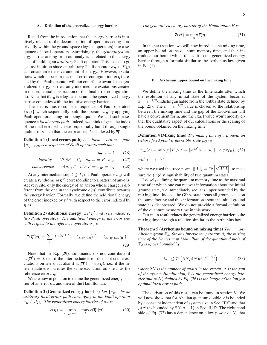#### A. Definition of the generalized energy barrier

Recall from the introduction that the energy barrier is intuitively related to the decomposition of operators acting nontrivially within the ground space (logical operators) into a sequence of local operators. Surprisingly, the *generalized* energy barrier arising from our analysis is related to the energy cost of building an *arbitrary* Pauli operator. This seems to go against intuition since an arbitrary Pauli operator  $\sigma_{\eta} \in \mathcal{P}_{2N}$ can create an extensive amount of energy. However, excitations which appear in the final error configuration  $e(\eta)$  created by the Pauli operator will not contribute towards the generalized energy barrier: only intermediate excitations created in the sequential construction of this final error configuration do. Note that if  $\sigma_{\eta}$  is a logical operator, the generalized energy barrier coincides with the intuitive energy barrier.

The idea is thus to consider sequences of Pauli operators  $\{\sigma_{\overline{\eta}^t}\}\$  which sequentially build the operator  $\sigma_{\eta}$  by applying Pauli operators acting on a single qudit. We call such a sequence a *local errors path*. Indeed, we think of  $\eta$  as the index of the final error which we sequentially build through single qudit errors such that the error at step t is indexed by  $\overline{\eta}^t$ .

Definition 1 (Local errors path) *A local errors path*  $\{\sigma_{\overline{n}t}\}_{t\geq 0}$  *is a sequence of Pauli operators such that* 

 $\sigma_{\overline{n}^{t=0}} = \mathbb{I}$  (26)

*locality* 
$$
\forall t \ \exists P \in \mathcal{P}_1 \quad \sigma_{\overline{\eta}^{t+1}} = P \cdot \sigma_{\overline{\eta}^t}
$$
 (27)

$$
convergence \qquad \exists \sigma_{\eta}, T \quad t > T \Rightarrow \sigma_{\overline{\eta}^t} = \sigma_{\eta} \qquad (28)
$$

At any intermediate step  $t \leq T$ , the Pauli operator  $\sigma_{\overline{n}t}$  will create a syndrome  $\mathbf{e}(\overline{\boldsymbol{\eta}}^t)$  corresponding to a pattern of anyons. At every site, only the energy of an anyon whose charge is different from the one in the syndrome  $e(\eta)$  contribute towards the energy barrier. Formally, we define the additional energy of the error indexed by  $\overline{\eta}^t$  with respect to the error indexed by  $\eta$  as

**Definition 2 (Additional energy)** Let  $\overline{\eta}^t$  and  $\eta$  be indices of *two Pauli operators. The additional energy of the error*  $\sigma_{\overline{n}t}$ *with respect to the reference operator*  $\sigma_n$  *is* 

$$
\overline{\epsilon}(\overline{\boldsymbol{\eta}}^t | \boldsymbol{\eta}) = \sum_s J_s^{e_s}(\overline{\boldsymbol{\eta}}^t) \left(1 - \delta_{\mathbf{e}_s(\overline{\boldsymbol{\eta}}^t), 0}\right) \left(1 - \delta_{e_s(\overline{\boldsymbol{\eta}}^t), e_s(\boldsymbol{\eta})}\right)
$$
\n(29)

Note that in Eq. (29), summands do not contribute if  $e_s(\overline{\eta}^t) = 0$ , i.e., if the intermediate error does not create excitations on site s but also if  $e_s(\overline{\eta}^t) = e_s(\eta)$ , i.e., if the intermediate error creates the same excitation on site  $s$  as the reference error  $\sigma_n$ .

We are now in position to define the generalized energy barrier of an error  $\sigma_{\eta}$  and then of the Hamiltonian.

**Definition 3 (Generalized energy barrier)** *Let*  $\{\sigma_{\overline{\eta}}\}$  *be an arbitrary local errors path converging to the Pauli operator*  $\sigma_{\eta} \in \mathcal{P}_{2N}$ *. The generalized energy barrier of*  $\sigma_{\eta}$  *is* 

$$
\overline{\epsilon}(\boldsymbol{\eta}) = \min_{\{\sigma_{\overline{\boldsymbol{\eta}}^t}\}\to\sigma_{\boldsymbol{\eta}}} \max_{t} \overline{\epsilon}(\overline{\boldsymbol{\eta}}^t | \boldsymbol{\eta})
$$
(30)

*The generalized energy barrier of the Hamiltonian H is*

$$
\overline{\epsilon}(H) = \max_{\eta} \overline{\epsilon}(\eta). \tag{31}
$$

In the next section, we will now introduce the mixing time, an upper bound on the quantum memory time, and then introduce our bound which relates it to the generalized energy barrier through a formula similar to the Arrhenius law given in Eq. (1).

#### B. Arrhenius upper bound on the mixing time

We define the mixing time as the time scale after which the evolution of any initial state of the system becomes  $\varepsilon = e^{-1/2}$ -indistinguishable from the Gibbs state defined by Eq. (25). The  $\varepsilon = e^{-1/2}$  value is chosen so the relationship between the mixing time and the gap of the Liouvillian will have a convenient form, and the exact value won't modify either the qualitative aspect of our calculations or the scaling of the bound obtained on the mixing time.

Definition 4 (Mixing time) *The mixing time of a Liouvillian (whose fixed point is the Gibbs state*  $\rho_G$ *) is* 

$$
t_{mix}(\varepsilon) = \min\{t \mid t' > t \Rightarrow ||e^{\mathcal{L}t'}\rho_0 - \rho_G||_1 < \varepsilon \,\forall \rho_0\},\tag{32}
$$
\n
$$
\text{with } \varepsilon = e^{-1/2}.
$$

where we used the trace norm,  $||A||_1 = \text{Tr}\left[\sqrt{A^{\dagger}A}\right]$ , to measure the (in)distinguishability of two quantum states.

Loosely defining the quantum memory time as the maximal time after which one can recover information about the initial ground state, we immediately see it is upper bounded by the mixing time. Indeed, the Gibbs state treats all ground state on the same footing and thus information about the initial ground state has disappeared. We do not provide a formal definition of the quantum memory time in this work.

Our main result relates the generalized energy barrier to the mixing time through a relation similar to the Arrhenius law.

Theorem 5 (Arrhenius bound on mixing time) *For any Abelian group*  $\mathbb{Z}_d$ *, for any inverse temperature*  $\beta$ *, the mixing time of the Davies map Liouvillian of the quantum double of*  $\mathbb{Z}_d$  *is upper bounded by* 

$$
t_{mix} \le \mathcal{O}\left(\beta N \mu(N) e^{\beta (2\bar{\epsilon} + \Delta)}\right),\tag{33}
$$

*where*  $2N$  *is the number of qudits in the system,*  $\Delta$  *is the gap of the system Hamiltonian,*  $\bar{\epsilon}$  *is the generalized energy barrier and*  $\mu(N)$  *defined by Eq.* (36) *is the length of the longest optimal local errors path.*

The derivation of this result can be found in section V. We will now show that for Abelian quantum double,  $\bar{\epsilon}$  is bounded by a constant independent of system size in Sec. III C and that  $\mu(N)$  is bounded by  $8N(d-1)$  in Sec. III D. The right hand side of Eq.  $(33)$  has a dependence on a low power of N, that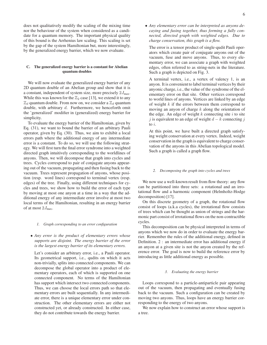does not qualitatively modify the scaling of the mixing time nor the behaviour of the system when considered as a candidate for a quantum memory. The important physical quality of this bound is the Arrhenius law scaling. This scaling is set by the gap of the system Hamiltonian but, more interestingly, by the generalized energy barrier, which we now evaluate.

# C. The generalized energy barrier is a constant for Abelian quantum doubles

We will now evaluate the generalized energy barrier of any 2D quantum double of an Abelian group and show that it is a constant, independent of system size, more precisely  $2J_{\text{max}}$ . While this was known for the  $\mathbb{Z}_2$  case [13], we extend it to any  $\mathbb{Z}_d$  quantum double. From now on, we consider a  $\mathbb{Z}_d$  quantum double, with arbitrary d. Furthermore, we henceforth omit the 'generalized' modifier in (generalized) energy barrier for simplicity.

To evaluate the energy barrier of the Hamiltonian, given by Eq. (31), we want to bound the barrier of an arbitrary Pauli operator, given by Eq. (30). Thus, we aim to exhibit a local errors path where the additional energy of any intermediate error is a constant. To do so, we will use the following strategy. We will first turn the final error syndrome into a weighted directed graph intuitively corresponding to the worldlines of anyons. Then, we will decompose that graph into cycles and trees. Cycles correspond to pair of conjugate anyons appearing out of the vacuum, propagating and then fusing back to the vacuum. Trees represent propagation of anyons, whose position (resp. word lines) correspond to terminal vertex (resp. edges) of the tree. Finally, using different techniques for cycles and trees, we show how to build the error of each type by moving at most one anyon at a time in a way that the additional energy of any intermediate error involve at most two local terms of the Hamiltonian, resulting in an energy barrier of at most  $2J_{\text{max}}$ .

# *1. Graph corresponding to an error configuration*

• *Any error is the product of elementary errors whose supports are disjoint. The energy barrier of the error is the largest energy barrier of its elementary errors.*

Let's consider an arbitrary error, i.e., a Pauli operator. Its geometrical support, i.e., qudits on which it acts non-trivially, splits into connected components. We can decompose the global operator into a product of elementary operators, each of which is supported on one connected component. No terms of the Hamiltonian has support which intersect two connected components. Thus, we can choose the local errors path so that elementary errors are built sequentially. In any intermediate error, there is a unique elementary error under construction. The other elementary errors are either not constructed yet, or already constructed. In either case, they do not contribute towards the energy barrier.

• *Any elementary error can be interpreted as anyons decaying and fusing together, thus forming a fully connected, directed graph with weighted edges. Due to charge conservation, this graph is a flow.*

The error is a tensor product of single-qudit Pauli operators which create pair of conjugate anyons out of the vacuum, fuse and move anyons. Thus, to every elementary error, we can associate a graph with weighted edges, often referred to as string-nets in the literature. Such a graph is depicted on Fig. 3.

A terminal vertex, i.e., a vertex of valency 1, is an anyon. It is convenient to label terminal vertices by their anyonic charge, i.e., the value of the syndrome of the elementary error on that site. Other vertices correspond to world lines of anyons. Vertices are linked by an edge of weight  $k$  if the errors between them correspond to moving an anyon of charge k along the orientation of the edge. An edge of weight  $k$  connecting site  $i$  to site j is equivalent to an edge of weight  $d - k$  connecting j to  $i$ .

At this point, we have built a directed graph satisfying weight conservation at every vertex. Indeed, weight conservation in the graph is equivalent to charge conservation of the anyons in this Abelian topological model. Such a graph is called a graph flow.

## *2. Decomposing the graph into cycles and trees*

We now use a well-known result from flow theory: any flow can be partitioned into three sets: a rotational and an irrotational flow and a harmonic component (Helmholtz-Hodge decomposition) [17].

On this discrete geometry of a graph, the rotational flow consist of loops (a.k.a cycles), the irrotational flow consists of trees which can be thought as union of strings and the harmonic part consist of irrotational flows on the non-contractible cycles.

This decomposition can be physical interpreted in terms of anyons which we now do in order to evaluate the energy barrier. Remember the rules of the additional energy, defined in Definition. 2 : an intermediate error has additional energy if an anyon at a given site is not the anyon created by the reference error. The goal is now to build the reference error by introducing as little additional energy as possible.

### *3. Evaluating the energy barrier*

Loops correspond to a particle-antiparticle pair appearing out of the vacuum, then propagating and eventually fusing back to the vacuum. Such a configuration can be created by moving two anyons. Thus, loops have an energy barrier corresponding to the energy of two anyons.

We now explain how to construct an error whose support is a tree.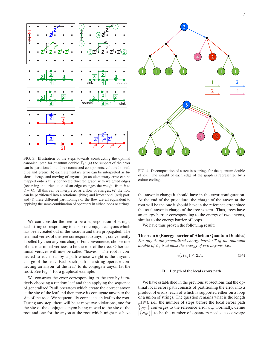

 $\overline{3}$ Ï  $\overline{3}$  $\overline{2}$ 4 3

FIG. 3: Illustration of the steps towards constructing the optimal canonical path for quantum double  $\mathbb{Z}_5$ : (a) the support of the error can be partitioned into three connected components, coloured in red, blue and green; (b) each elementary error can be interpreted as fusions, decays and moving of anyons; (c) an elementary error can be mapped onto a fully connected directed graph with weighted edges (reversing the orientation of an edge changes the weight from  $k$  to  $d - k$ ); (d) this can be interpreted as a flow of charges; (e) the flow can be partitioned into a rotational (blue) and irrotational (red) part; and (f) these different partitionings of the flow are all equivalent to applying the same combination of operators in either loops or strings.

We can consider the tree to be a superposition of strings, each string corresponding to a pair of conjugate anyons which has been created out of the vacuum and then propagated. The terminal vertex of the tree correspond to anyons, conveniently labelled by their anyonic charge. For convenience, choose one of these terminal vertices to be the root of the tree. Other terminal vertices will now be called "leaves". The root is connected to each leaf by a path whose weight is the anyonic charge of the leaf. Each such path is a string operator connecting an anyon (at the leaf) to its conjugate anyon (at the root). See Fig. 4 for a graphical example.

We construct the error corresponding to the tree by iteratively choosing a random leaf and then applying the sequence of generalized Pauli operators which create the correct anyon at the site of the leaf and then move its conjugate anyon to the site of the root. We sequentially connect each leaf to the root. During any step, there will be at most two violations, one for the site of the conjugate anyon being moved to the site of the root and one for the anyon at the root which might not have

FIG. 4: Decomposition of a tree into strings for the quantum double of  $\mathbb{Z}_5$ . The weight of each edge of the graph is represented by a colour coding.

the anyonic charge it should have in the error configuration. At the end of the procedure, the charge of the anyon at the root will be the one it should have in the reference error since the total anyonic charge of the tree is zero. Thus, trees have an energy barrier corresponding to the energy of two anyons, similar to the energy barrier of loops.

We have thus proven the following result:

Theorem 6 (Energy barrier of Abelian Quantum Doubles) *For any d, the generalized energy barrier*  $\overline{\epsilon}$  *of the quantum double of*  $\mathbb{Z}_d$  *is at most the energy of two anyons, i.e.,* 

$$
\overline{\epsilon}(H_{\mathbb{Z}_d}) \le 2J_{\text{max}} \tag{34}
$$

#### D. Length of the local errors path

We have established in the previous subsections that the optimal local errors path consists of partitioning the error into a product of errors, each of which is supported either on a loop or a union of strings. The question remains what is the length  $\mu(N)$ , i.e., the number of steps before the local errors path  $\{\sigma_{\overline{\eta}^t}\}\)$  converges to the reference error  $\sigma_{\eta}$ . Formally, define  $|\{\sigma_{\overline{\boldsymbol{\eta}}^t}\}\rangle|$  to be the number of operators needed to converge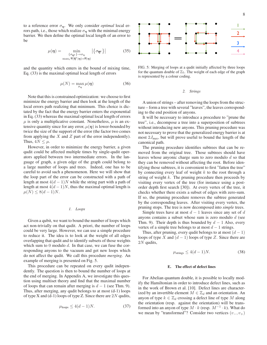to a reference error  $\sigma_{\eta}$ . We only consider *optimal* local errors path, i.e., those which realize  $\sigma_{\eta}$  with the minimal energy barrier. We then define the optimal local length of an error to be

$$
\mu(\boldsymbol{\eta}) = \min_{\substack{\{\sigma_{\overline{\boldsymbol{\eta}}^t}\} \to \sigma_{\boldsymbol{\eta}} \\ \max_t \overline{\epsilon}(\overline{\boldsymbol{\eta}}^t | \boldsymbol{\eta}) = \overline{\epsilon}(\boldsymbol{\eta})}} |\{\sigma_{\overline{\boldsymbol{\eta}}^t}\}| \tag{35}
$$

and the quantity which enters in the bound of mixing time, Eq. (33) is the maximal optimal local length of errors

$$
\mu(N) = \max_{\sigma_{\eta}} \mu(\eta) \tag{36}
$$

Note that this is constrained optimization: we choose to first minimize the energy barrier and then look at the length of the local errors path realizing that minimum. This choice is dictated by the fact that the energy barrier enters the exponential in Eq. (33) whereas the maximal optimal local length of errors  $\mu$  is only a multiplicative constant. Nonetheless,  $\mu$  is an extensive quantity since for any error,  $\mu(\eta)$  is lower-bounded by twice the size of the support of the error (the factor two comes from applying the  $X$  and  $Z$  part of the error independently). Thus,  $4N \leq \mu$ .

However, in order to minimize the energy barrier, a given qudit could be affected multiple times by single-qudit operators applied between two intermediate errors. In the language of graph, a given edge of the graph could belong to a large number of loops and trees. Indeed, one has to be careful to avoid such a phenomenon. Here we will show that the loop part of the error can be constructed with a path of length at most  $4(d - 1)N$  while the string part with a path of length at most  $4(d-1)N$ , thus the maximal optimal length is  $\mu(N) \leq 8(d-1)N$ .

## *1. Loops*

Given a qubit, we want to bound the number of loops which act non-trivially on that qudit. A priori, the number of loops could be very large. However, we can use a simple procedure to reduce it. The idea is to look at the weight of all edges overlapping that qudit and to identify subsets of those weights which sum to  $0$  modulo  $d$ . In that case, we can fuse the corresponding anyons to the vacuum and get new loops which do not affect the qudit. We call this procedure *merging*. An example of merging is presented on Fig. 5.

This procedure can be repeated on every qudit independently. The question is then to bound the number of loops at the end of merging. In Appendix A, we investigate this question using multiset theory and find that the maximal number of loops that can remain after merging is  $d - 1$  (see Thm. 9). Thus, after merging, any qudit belongs to at most (d-1) loops of type X and  $(d-1)$  loops of type Z. Since there are  $2N$  qudits,

$$
\mu_{\text{loops}} \le 4(d-1)N. \tag{37}
$$



FIG. 5: Merging of loops at a qudit initially affected by three loops for the quantum double of  $\mathbb{Z}_5$ . The weight of each edge of the graph is represented by a colour coding.

#### *2. Strings*

A union of strings – after removing the loops from the structure – form a tree with several "leaves", the leaves corresponding to the end position of anyons.

It will be necessary to introduce a procedure to "prune the tree", i.e., decompose a tree into a superposition of subtrees without introducing new anyons. This pruning procedure was not necessary to prove that the generalized energy barrier is at most  $2J_{\text{max}}$ , but will prove useful to bound the length of the canonical path.

The pruning procedure identifies subtrees that can be removed from the original tree. Those subtrees should have leaves whose anyonic charge sum to zero modulo d so that they can be removed without affecting the root. Before identifying those subtrees, it is convenient to first "fatten the tree" by connecting every leaf of weight  $k$  to the root through a string of weight  $k$ . The pruning procedure then proceeds by visiting every vertex of the tree (for instance using a postorder depth first search [30]). At every vertex of the tree, it checks whether there exists a subset of edges with zero-sum. If so, the pruning procedure removes the subtree generated by the corresponding leaves. After visiting every vertex, the pruning stops. The tree is now decomposed into *simple* trees.

Simple trees have at most  $d - 1$  leaves since any set of d anyons contains a subset whose sum is zero modulo  $d$  (see Thm. 9). Their depth is thus bounded by  $d - 1$  Also, every vertex of a simple tree belongs to at most  $d - 1$  strings.

Thus, after pruning, every qudit belongs to at most  $(d - 1)$ loops of type X and  $(d-1)$  loops of type Z. Since there are 2N qudits,

$$
\mu_{\text{strings}} \le 4(d-1)N. \tag{38}
$$

#### E. The effect of defect lines

For Abelian quantum double, it is possible to locally modify the Hamiltonian in order to introduce defect lines, such as in the work of Brown et al. [10]. Defect lines are characterized by an invertible element  $M \in \mathbb{Z}_d$  and an orientation. An anyon of type  $k \in \mathbb{Z}_d$  crossing a defect line of type M along the orientation (resp. against the orientation) will be transformed into an anyon of type  $M \cdot k$  (resp.  $M^{-1} \cdot k$ ). What do we mean by "transformed"? Consider two vertices  $(v_-, v_+)$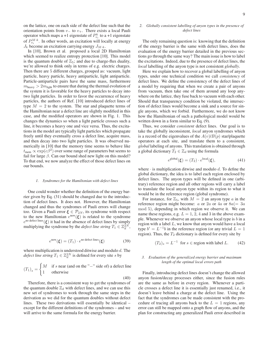9

on the lattice, one on each side of the defect line such that the orientation points from  $v_$  to  $v_+$ . There exists a local Pauli operator which maps a +1 eigenstate of  $P_{v_i}^k$  to a +1 eigenstate of  $P_{v_i}^{M \cdot k}$ . In other words, an excitation will locally at energy  $J_k$  become an excitation carrying energy  $J_{M \cdot k}$ .

In [10], Brown et al. proposed a local 2D Hamiltonian which seemed to realize entropy protection [10]. This model is the quantum double of  $\mathbb{Z}_5$ ; and due to charge-flux duality, we're allowed to think only in terms of e.g. electric charges. Then there are 5 different charges, grouped as: vacuum, light particle, heavy particle, heavy antiparticle, light antiparticle. Particle-antiparticle pairs have the same mass, furthermore  $m_{\text{heavy}} > 2m_{\text{light}}$  to ensure that during the thermal evolution of the system it is favorable for the heavy particles to decay into two light particles. In order to favor the occurrence of heavy particles, the authors of Ref. [10] introduced defect lines of type  $M = 2$  to the system. The star and plaquette terms of the Hamiltonian near a defect line are slightly modified in this case, and the modified operators are shown in Fig. 1. This changes the dynamics so when a light particle crosses such a line, it becomes a heavy one and vice versa. Thus, the excitations in the model are typically light particles which propagate freely until they eventually cross a defect line, acquire mass, and then decay into two light particles. It was observed numerically in [10] that the memory time seems to behave like  $t_{\text{mem}} \propto \exp(c\beta^2)$  over some range of parameters but seems to fail for large  $\beta$ . Can our bound shed new light on this model? To that end, we now analyze the effect of those defect lines on our bounds.

#### *1. Syndromes for the Hamiltonian with defect lines*

One could wonder whether the definition of the energy barrier given by Eq. (31) should be changed due to the introduction of defect lines. It does not. However, the Hamiltonian changed and thus the syndromes of Pauli errors will change too. Given a Pauli error  $\xi \in \mathcal{P}_{2N}$ , its syndrome with respect to the new Hamiltonian  $e^{new}(\xi)$  is related to the syndrome  $e^{no \text{ defect lines}}(\xi)$  it had in the absence of defect lines by simply multiplying the syndrome by the *defect line string*  $T_1 \in \mathbb{Z}_d^{2N}$ ,

$$
e^{\text{new}}(\xi) = (T_1) \cdot e^{\text{no defect lines}}(\xi)
$$
 (39)

(40)

where multiplication is understood ditwise and modulo  $d$ . The *defect line string*  $T_1 \in \mathbb{Z}_d^{2N}$  is defined for every site s by

$$
(T_1)_s = \begin{cases} M & \text{if } s \text{ near (and on the "--" side of) a defect line} \\ 1 & \text{otherwise} \end{cases}
$$

Therefore, there is a consistent way to get the syndromes of the quantum double  $\mathbb{Z}_d$  with defect lines, and we can use this new set of syndromes to work through the same steps in the derivation as we did for the quantum doubles without defect lines. These two derivations will essentially be identical – except for the different definitions of the syndromes – and we will arrive to the same formula for the energy barrier.

# *2. Globally consistent labelling of anyon types in the presence of defect lines*

The only remaining question is: knowing that the definition of the energy barrier is the same with defect lines, does the evaluation of the energy barrier detailed in the previous sections go through the same way? The main issue is how to label the excitations. Indeed, due to the presence of defect lines, the *local* labelling of the anyon type is not consistent *globally*.

Here we explain how to recover a global labelling of anyon types, under one technical condition we call *consistency* of defect lines. We define the consistency of the defect lines of a model by requiring that when we create a pair of anyons from vacuum, then take one of them around any loop anywhere on the lattice, they fuse back to vacuum with each other. Should that transparency condition be violated, the intersection of defect lines would become a sink and a source for single anyons, which we forbid. Furthermore, we do not know how the Hamiltonian of such a pathological model would be written down in a form similar to Eq.  $(9)$ .

Thus, we consider *consistent* defect lines. Our goal is to take the globally inconsistent, *local* anyon syndromes which is a record of the eigenvalues of the  $A(v)/B(p)$  star/plaquette operators at each site, and translate them to a consistent, *global* labeling of anyons. This translation is obtained through a global dictionary  $T_2 \in \mathbb{Z}_d$  using the formula

$$
e^{\text{global}}(\xi) = (T_2) \cdot e^{\text{local}}(\xi), \tag{41}
$$

where  $\cdot$  is multiplication ditwise and modulo d. To define the global dictionary, the idea is to label each region enclosed by defect lines. The anyon types will be defined in one (arbitrary) reference region and all other regions will carry a label to translate the local anyon type within its region to what it would be in the reference region (global syndrome).

For instance, for  $\mathbb{Z}_5$ , with  $M = 2$  an anyon type a in the reference region might become: a or  $2a$  or  $4a$  or  $8a(= 3a)$ mod 5), depending in which region we observe it. We can name these regions, e.g.  $L = 1, 2, 4$  and 3 in the above example. Whenever we observe an anyon whose local type is b in a region with a label L, we know that anyon would have a local type  $b' = L^{-1}b$  in the reference region (or any trivial  $L = 1$ region). Thus, the  $T_2$  dictionary is defined for every site by

$$
(T_2)_s = L^{-1} \text{ for } s \in \text{region with label } L. \tag{42}
$$

# *3. Evaluation of the generalized energy barrier and maximum length of the optimal local errors path*

Finally, introducing defect lines doesn't change the allowed anyon fusion/decay processes either, since the fusion rules are the same as before in every region. Whenever a particle crosses a defect line it is essentially just renamed, i.e., it doesn't leave behind a charge at the defect line. Using the fact that the syndromes can be made consistent with the procedure of tracing all anyons back to the  $L = 1$  regions, any error can still be mapped onto a graph flow of anyons, and the plan for constructing any generalized Pauli error described in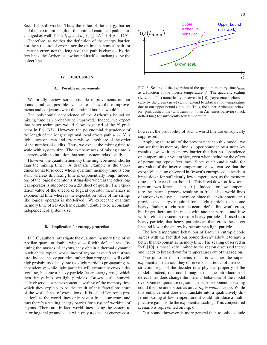Sec. III C still works. Thus, the value of the energy barrier and the maximum length of the optimal canonical path is unchanged as well:  $\bar{\epsilon} = 2J_{\text{max}}$  and  $\mu(N) \le 4N^2 + 4(d-1)N$ .

Therefore, as neither the definition of the energy barrier, nor the structure of errors, nor the optimal canonical path for a certain error, nor the length of this path is changed by defect lines, the Arrhenius law bound itself is unchanged by the defect lines.

#### IV. DISCUSSION

#### A. Possible improvements

We briefly review some possible improvements on our bounds, indicate possible avenues to achieve those improvements and conjecture what the optimal bounds would be.

The polynomial dependence of the Arrhenius bound on mixing time can probably be improved. Indeed, we expect that better techniques would allow to get rid of the  $N$  prefactor in Eq. (33). However, the polynomial dependence of the length of the longest optimal local errors path  $\mu \sim N$  is tight since one can find errors whose length are of the order of the number of qudits. Thus, we expect the mixing time to scale with system size. The extensiveness of mixing time is coherent with the intuition that some system relax locally.

However, the quantum memory time might be much shorter than the mixing time. A dramatic example is the threedimensional toric code whose quantum memory time is constant whereas its mixing time is exponentially long. Indeed, one of the logical operator is string-like whereas the other logical operator is supported on a 2D sheet of qudits. The expectation value of the sheet-like logical operator thermalizes in exponential time whereas the expectation value of the stringlike logical operator is short-lived. We expect the quantum memory time of 2D Abelian quantum double to be a constant, independent of system size.

#### B. Implication for entropy protection

In [10], authors investigate the quantum memory time of an Abelian quantum double with  $d = 5$  with defect lines. By tuning the masses of anyons, they obtain a thermal dynamic in which the typical world lines of anyons have a fractal structure. Indeed, heavy particles, rather than propagate, will (with high probability) decay into two light particles propagating independently; while light particles will eventually cross a defect line, become a heavy particle (at an energy cost), which then decays into two light particles. Brown et al. numerically observe a super-exponential scaling of the memory time which they explain to be the result of this fractal structure of the world lines of excitations. It is called "entropic protection" as the world lines only have a fractal structure and thus there's a scaling energy barrier for a *typical* worldine of anyons. There are, in fact, world lines taking the system to an orthogonal ground state with only a constant energy cost,



FIG. 6: Scaling of the logarithm of the quantum memory time  $t_{\text{mem}}$ as a function of the inverse temperature  $\beta$ . The quadratic scaling  $(t_{\text{mem}} \sim e^{c\beta^2})$  numerically observed in [10] (represented schematically by the green curve) cannot extend to arbitrary low temperature due to our upper bound (in blue). Thus, the super-Arrhenius behavior (pink dashed line) will transition to an Arrhenius behavior (black dotted line) for sufficiently low temperature.

however, the probability of such a world line are entropically suppressed.

Applying the result of the present paper to this model, we can see that its memory time is upper bounded by a strict Arrhenius law, with an energy barrier that has no dependence on temperature or system size, even when including the effect of permuting type defect lines. Since our bound is valid for any value of the inverse temperature  $\beta$ , we can see that the  $\exp(c\beta^2)$  scaling observed in Brown's entropic code needs to break down for sufficiently low temperatures, as the memory time can't exceed our bound. This breakdown at low temperature was forecasted in [10]. Indeed, for low temperature the thermal process resulting in fractal-like world lines of anyons is not typical anymore, since the environment can't provide the energy required for a light particle to become heavy. Rather, a light particle near a defect line won't cross, but linger there until it meets with another particle and fuse with it either to vacuum or to a heavy particle. If fused to a heavy particle, that heavy particle can then cross the defect line and lower the energy by becoming a light particle.

The low temperature behaviour of Brown's entropic code agrees with the fact that our bound doesn't allow it to have a better than exponential memory time. The scaling observed in Ref. [10] is most likely limited to the region discussed there, and needs to break down for temperatures out of that region.

One question that remains open is whether the superexponential behaviour they observe is an artefact of their construction, e.g., of the decoder or a physical property of the model. Indeed, one could imagine that the introduction of defect lines does change the thermal behaviour of the model over some temperature region. The super-exponential scaling could then be understood as an *entropic enhancement*. While this enhancement does not translate into a qualitatively different scaling at low temperature, it could introduce a multiplicative gain inside the exponential scaling. This conjectured scenario is represented on Fig. 6.

Our bound, however, is more general than to only exclude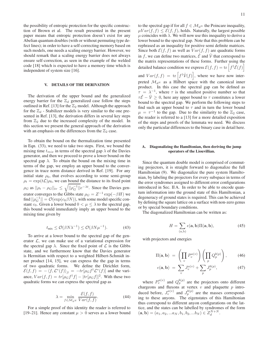the possibility of entropic protection for the specific construction of Brown et al. The result presented in the present paper means that entropic protection doesn't exist for any Abelian quantum doubles (with or without permuting type defect lines); in order to have a self-correcting memory based on such models, one needs a scaling energy barrier. However, we should remark that a scaling energy barrier does not always ensure self-correction, as seen in the example of the welded code [18] which is expected to have a memory time which is independent of system size [16].

#### V. DETAILS OF THE DERIVATION

The derivation of the upper bound and the generalized energy barrier for the  $\mathbb{Z}_d$  generalized case follow the steps outlined in Ref. [13] for the  $\mathbb{Z}_2$  model. Although the approach for the  $\mathbb{Z}_d$  - Stabilizer models is very similar to the one presented in Ref. [13], the derivation differs in several key steps from  $\mathbb{Z}_2$  due to the increased complexity of the model. In this section we present the general approach of the derivation with an emphasis on the differences from the  $\mathbb{Z}_2$  case.

To obtain the bound on the thermalization time presented in Eqn. (33), we need to take two steps. First, we bound the mixing time  $t_{mix}$  in terms of the spectral gap  $\lambda$  of the Davies generator, and then we proceed to prove a lower bound on the spectral gap  $\lambda$ . To obtain the bound on the mixing time in terms of the gap, we employ an upper bound to the convergence in trace norm distance derived in Ref. [19]. For any initial state  $\rho_0$ , that evolves according to some semi-group  $\rho_t = \exp(t\mathcal{L})\rho_0$ , we can bound the distance to its fixed point  $\rho_G$  as  $||\rho_t - \rho_G||_{tr} \leq \sqrt{||\rho_G^{-1}||}e^{-\lambda t}$ . Since the Davies generator converges to the Gibbs state  $\rho_G = Z^{-1} \exp(-\beta H)$  we find  $||\rho_G^{-1}|| = \mathcal{O}(\exp(c_0 \beta N))$ , with some model specific constant  $c_0$ . Given a lower bound  $0 < \mu \leq \lambda$  to the spectral gap, this bound would immediately imply an upper bound to the mixing time given by

$$
t_{\max} \le \mathcal{O}(\beta N \lambda^{-1}) \le \mathcal{O}(\beta N \mu^{-1}). \tag{43}
$$

To arrive at a lower bound to the spectral gap of the generator  $\mathcal{L}$ , we can make use of a variational expression for the spectral gap  $\lambda$ . Since the fixed point of  $\mathcal L$  is the Gibbs state, and we furthermore know that the Davies generator is Hermitian with respect to a weighted Hilbert-Schmidt inner product [14, 15], we can express the the gap in terms of two quadratic forms. We define the Dirichlet form,  $\mathcal{E}(f, f) = -\langle f, \mathcal{L}^*(f) \rangle_{\beta} = -tr[\rho_G f^{\dagger} \mathcal{L}^*(f)]$  and the variance,  $Var(f, f) = tr[\rho_G f^{\dagger} f] - |tr[\rho_G f]|^2$ . With these two quadratic forms we can express the spectral gap as

$$
\lambda = \min_{f \in \mathcal{M}_{d^N}} \frac{\mathcal{E}(f, f)}{Var(f, f)}.
$$
\n(44)

For a simple proof of this identity the reader is referred to [19–21]. Hence any constant  $\mu > 0$  serves as a lower bound to the spectral gap if for all  $f \in \mathcal{M}_{d^N}$  the Poincare inequality,  $\mu Var(f, f) \leq \mathcal{E}(f, f)$ , holds. Naturally, the largest possible  $\mu$  coincides with  $\lambda$ . We will now use this inequality to derive a lower bound to the spectral gap. Note that this problem can be rephrased as an inequality for positive semi definite matrices. Since both  $\mathcal{E}(f, f)$  as well as  $Var(f, f)$  are quadratic forms in f, we can define two matrices,  $\hat{\mathcal{E}}$  and  $\hat{\mathcal{V}}$  that correspond to the matrix representations of these forms. Further using the detailed balance condition we express  $\mathcal{E}(f, f) = \text{tr}\left[f^{\dagger} \hat{\mathcal{E}}(f)\right]$ and  $Var(f, f) = \text{tr}\left[f^{\dagger} \hat{\mathcal{V}}(f)\right]$ , where we have now interpreted  $\mathcal{M}_{dN}$  as a Hilbert space with the canonical inner product. In this case the spectral gap can be defined as  $\tau = \lambda^{-1}$ , where  $\tau$  is the smallest positive number so that  $\tau\hat{\mathcal{E}} - \hat{\mathcal{V}} \geq 0$ , here any upper bound to  $\tau$  constitutes a lower bound to the spectral gap. We perform the following steps to find such an upper bound to  $\tau$  and in turn the lower bound  $\mu = \tau^{-1}$  to the gap. Due to the similarity to the  $\mathbb{Z}_2$  case, the reader is referred to a [13] for a more detailed exposition

# A. Diagonalizing the Hamiltonian, then deriving the jump operators of the Liouvillian.

of the steps and proofs of the lemmata we need. We discuss only the particular differences to the binary case in detail here.

Since the quantum double model is comprised of commuting projectors, it is straight forward to diagonalize the full Hamiltonian (9). We diagonalize the pure system Hamiltonian, by labeling the projectors for every subspace in terms of the error syndromes assigned to different error configurations introduced in Sec. II A. In order to be able to encode quantum information into the ground state of this Hamiltonian, a degeneracy of ground states is required. This can be achieved by defining the square lattice on a surface with non-zero genus or by special boundary conditions.

The diagonalized Hamiltonian can be written as:

$$
H = \sum_{(\mathbf{a},\mathbf{b})} \epsilon(\mathbf{a},\mathbf{b}) \Pi(\mathbf{a},\mathbf{b}),\tag{45}
$$

with projectors and energies

$$
\Pi(\mathbf{a},\mathbf{b}) = \left(\prod_v P_v^{a(v)}\right)\left(\prod_p Q_p^{b(p)}\right),\qquad(46)
$$

$$
\epsilon(\mathbf{a}, \mathbf{b}) = \sum_{v} J_v^{a(v)} + \sum_{p} J_p^{b(p)}, \tag{47}
$$

where  $P_v^{a(v)}$  and  $Q_p^{b(p)}$  are the projectors onto different chargeons and fluxons at vertex  $v$  and plaquette  $p$  introduced before,  $J_v^{a(v)}$  and  $J_p^{b(p)}$  are the masses corresponding to these anyons. The eigenstates of this Hamiltonian thus correspond to different anyon configurations on the lattice, and the states can be labelled by syndromes of the form  $(\mathbf{a}, \mathbf{b}) = (a_1, a_2, ... a_N, b_1, b_2, ... b_N) \in Z_d^{N+N}.$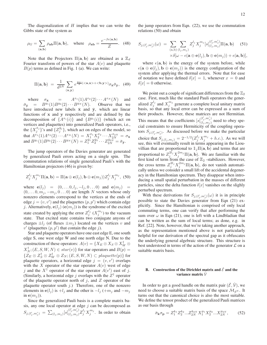The diagonalization of  $H$  implies that we can write the Gibbs state of the system as

$$
\rho_G = \sum_{(\mathbf{a}, \mathbf{b})} \rho_{\mathbf{a}\mathbf{b}} \Pi(\mathbf{a}, \mathbf{b}), \quad \text{where} \quad \rho_{\mathbf{a}\mathbf{b}} = \frac{e^{-\beta \epsilon(\mathbf{a}, \mathbf{b})}}{Z}.
$$
 (48)

Note that the Projectors  $\Pi(a, b)$  are obtained as a  $\mathbb{Z}_d$ Fourier transform of powers of the star  $A(v)$  and plaquette  $B(p)$  terms as defined in Fig. 1 (a). We can write:

$$
\Pi(\mathbf{a}, \mathbf{b}) = \frac{1}{d^{2N}} \sum_{(\mathbf{x}, \mathbf{y})} e^{\frac{2\pi i}{d} (\langle \mathbf{a}, \mathbf{x} \rangle + \langle \mathbf{b}, \mathbf{y} \rangle)} \sigma_{\bar{\mathbf{x}}} \bar{\sigma}_{\bar{\mathbf{y}}}, \quad (49)
$$

where  $\sigma_{\bar{\mathbf{x}}} = A^{x_1}(1)A^{x_2}(2)\cdots A^{x_N}(N)$  and  $\bar{\sigma}_{\bar{y}}$  =  $B^{y_1}(1)B^{y_2}(2)\cdots B^{y_N}(N)$ . Observe that we have introduced new labels  $\bar{x}$  and  $\bar{y}$ , which are linear functions of x and y respectively and are defined by the decomposition of  $\{A^{x_i}(i)\}\$  and  $\{B^{y_i}(i)\}\$  (which act on vertices and plaquettes) into generalized Pauli operators, i.e., the  $\{X_j^{\bar{x}_j}\}$ 's and  $\{Z_j^{\bar{y}_j}\}$ , which act on edges of the model, so that  $A^{x_1}(1)A^{x_2}(2)\cdots A^{x_N}(N) = X_1^{\bar{x}_1}X_2^{\bar{x}_2}\cdots X_{2N}^{\bar{x}_{2N}} = \sigma_{\bar{x}}$ and  $B^{y_1}(1)B^{y_2}(2)\cdots B^{y_N}(N)=Z_1^{\bar{y}_1}Z_2^{\bar{y}_2}\cdots Z_{2N}^{\bar{y}_{2N}}=\bar{\sigma}_{\bar{y}}.$ 

The jump operators of the Davies generator are generated by generalized Pauli errors acting on a single spin. The commutation relations of single generalized Pauli's with the Hamiltonian projectors (46) is given by:

$$
Z_j^{l_j} X_j^{m_j} \Pi(\mathbf{a}, \mathbf{b}) = \Pi(\mathbf{a} \oplus \mathbf{e}(l_j), \mathbf{b} \oplus \mathbf{e}(m_j)) Z_j^{l_j} X_j^{m_j}, (50)
$$

where  $e(l_j) = (0, \ldots, 0, l_j, -l_j, 0 \ldots 0)$  and  $e(m_j) =$  $(0, \ldots, 0, m_j, -m_j, 0 \ldots, 0)$  are length N vectors whose only nonzero elements correspond to the vertices at the ends of edge  $j = (v, v')$  and the plaquettes  $(p, p')$  which contain edge j. Alternatively,  $e(l_j)$  ( $e(m_j)$ ) is the syndrome of the excited state created by applying the error  $Z_j^{l_j}(X_j^{m_j})$  to the vacuum state. That excited state contains two conjugate anyons of charges  $\pm l_j$  (of fluxes  $\pm m_j$ ) located on the vertices v and  $v'$  (plaquettes  $(p, p')$  that contain the edge j).

Star and plaquette operators have one east edge E, one south edge S, one west edge W and one north edge N. Due to the construction of these operators:  $A(v) = \{X_E \otimes X_S \otimes X_W^{\dagger} \otimes$  $X_N^{\dagger}$ ;  $(E, S, W, N) \in star(v)$  for star operators and  $B(p)$  =  $\{Z_E \otimes Z_S^{\dagger} \otimes Z_W^{\dagger} \otimes Z_N; (E, S, W, N) \subset \textit{plaquette}(p)\}\$ for plaquette operators, a horizontal edge  $j = (v, v')$  overlaps with the X operator of the star operator  $A(v)$  west of edge j and the  $X^{\dagger}$  operator of the star operator  $A(v')$  east of j. (Similarly, a horizontal edge j overlaps with the  $Z^{\dagger}$  operator of the plaquette operator north of  $j$ , and  $Z$  operator of the plaquette operator south  $j$ .) Therefore, one of the nonzero elements in  $e(l_j)$  is  $+l_j$  and the other is  $-l_j$  (+ $m_j$  and  $-m_j$ ) in  $e(m_i)$ ).

Since the generalized Pauli basis is a complete matrix basis, any one local operator at edge  $j$  can be decomposed as  $S_{j,(l'_j,m'_j)} = \sum_{(l_j,m_j)} [s]_{(l_j,m_j)}^{(l'_j,m'_j)} Z_j^{l_j} X_j^{m_j}$ . In order to obtain the jump operators from Eqn. (22), we use the commutation relations (50) and obtain

$$
S_{j,(l'_j,m'_j)}(\omega) = \sum_{(\mathbf{a},\mathbf{b})} \sum_{(l_j,m_j)} Z_j^{l_j} X_j^{m_j} [s]_{(l_j,m_j)}^{(l'_j,m'_j)} \Pi(\mathbf{a},\mathbf{b}) \quad (51)
$$

$$
\times \delta[\omega - \epsilon(\mathbf{a} \oplus \mathbf{e}(l_j), \mathbf{b} \oplus \mathbf{e}(m_j)) + \epsilon(\mathbf{a},\mathbf{b})],
$$

where  $\epsilon(\mathbf{a}, \mathbf{b})$  is the energy of the system before, while  $\epsilon(\mathbf{a} \oplus \mathbf{e}(l_i), \mathbf{b} \oplus \mathbf{e}(m_i))$  is the energy configuration of the system after applying the thermal errors. Note that for ease of notation we have defined  $\delta[x] = 1$ , whenever  $x = 0$  and  $\delta[x] = 0$  otherwise.

We point out a couple of significant differences from the  $\mathbb{Z}_2$ case. First, much like the standard Pauli operators the generalized  $Z_j^{l_j}$  and  $X_j^{m_j}$  generate a complete local unitary matrix basis, so that any local error can be expressed as a sum of their products. However, these matrices are not Hermitian. This means that the coefficients  $[s]_{(l+m)}^{(l'_j, m'_j)}$  $\binom{(i_j,m_j)}{(l_j,m_j)}$  need to obey special constraints to ensure Hermiticity of the coupling operators  $S_{j,(l'_j,m'_j)}$ . As discussed before we make the particular choice that  $S_{j,(l_j,m_j)} = 2^{-1/2} (Z_j^{l_j} X_j^{m_j} + h.c.).$  As we will see, this will eventually result in terms appearing in the Liouvillian that are proportional to  $1_j\Pi(a, b)$  and terms that are proportional to  $Z_j^{2l_j} X_j^{2m_j} \Pi(a, b)$ . We are familiar with the first kind of term from the case of  $\mathbb{Z}_2$  -stabilizers. However, the cross terms  $Z_j^{2l_j} X_j^{2m_j} \Pi(a, b)$ , do not vanish automatically unless we consider a small lift of the accidental degeneracy in the Hamiltonian spectrum. They disappear when introducing a small spatial perturbation in the masses of different particles, since the delta function  $\delta[x]$  vanishes on the slighly perturbed spectrum.

With these derivations for  $S_{j,(l'_j,m'_j)}(\omega)$  it is in principle possible to state the Davies generator from Eqn (21) explicitly. Since the Hamiltonian is comprised of only local commuting terms, one can verify that after performing the sum over  $\omega$  in Eqn (21), one is left with a Lindbladian that can be written as the sum of local terms; as done, e.g. in Ref. [22]. Note, however, that we're taking another approach, as the representation mentioned above is not particularly helpful for our derivation of the spectral gap as it obfuscates the underlying general algebraic structure. This structure is best understood in terms of the action of the generator  $\mathcal L$  on a suitable matrix basis.

# B. Construction of the Dirichlet matrix and  $\hat{\mathcal{E}}$  and the variance matrix  $\hat{V}$

In order to get a good handle on the matrix pair  $(\hat{\mathcal{E}}, \hat{\mathcal{V}})$ , we need to choose a suitable matrix basis of the space  $\mathcal{M}_{dN}$ . It turns out that the canonical choice is also the most suitable. We define the tensor product of the generalized Pauli matrices as our basis through

$$
\bar{\sigma}_{\mathbf{k}}\sigma_{\mathbf{p}} = Z_1^{k_1} Z_2^{k_2} ... Z_{2N}^{k_{2N}} X_1^{p_1} X_2^{p_2} ... X_{2N}^{p_{2N}},\tag{52}
$$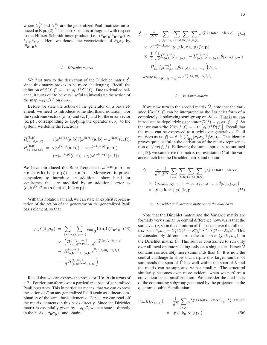where  $Z_j^{k_j}$  and  $X_j^{p_j}$  are the generalized Pauli matrices introduced in Eqn. (2). This matrix basis is orthogonal with respect to the Hilbert-Schmidt inner product, i.e.,  $(\bar{\sigma}_{\mathbf{k}}\sigma_{\mathbf{p}}|\bar{\sigma}_{\mathbf{k'}}\sigma_{\mathbf{p'}}) \propto$  $\delta_{k,k'}\delta_{p,p'}$ . Here we denote the vectorization of  $\bar{\sigma}_{k}\sigma_{p}$  by  $|\bar{\sigma}_{\mathbf{k}}\sigma_{\mathbf{p}}).$ 

#### *1. Dirichlet matrix*

We first turn to the derivation of the Dirichlet matrix  $\hat{\mathcal{E}}$ , since this matrix proves to be more challenging. Recall the definition of  $\mathcal{E}(f, f) = -tr[\rho_G f^{\dagger} \mathcal{L}^*(f)]$ . Due to detailed balance, it turns out to be very useful to investigate the action of the map  $-\rho_G\mathcal{L}(\cdot)$  on  $\bar{\sigma}_k\sigma_p$ .

Before we state the action of the generator on a basis element, we need to introduce some shorthand notation. For the syndrome vectors  $(a, b)$  and  $(c, f)$  and for the error vector  $(k, p)$ , corresponding to applying the operator  $\bar{\sigma}_{k}\sigma_{p}$  to the system, we define the functions:

$$
H_{(\mathbf{a},\mathbf{b}),(\mathbf{c},\mathbf{f})}^{(\mathbf{k},\mathbf{p})} = \gamma(\omega^{(\mathbf{k},\mathbf{p})}(\mathbf{a},\mathbf{b})\delta[\omega^{(\mathbf{k},\mathbf{p})}(\mathbf{a},\mathbf{b}) - \omega^{(\mathbf{k},\mathbf{p})}(\mathbf{c},\mathbf{f})],
$$
  
\n
$$
\tilde{H}_{(\mathbf{a},\mathbf{b}),(\mathbf{c},\mathbf{f})}^{(\mathbf{k},\mathbf{p})} = \gamma(\omega^{(\mathbf{k},\mathbf{p})}(\mathbf{a},\mathbf{b})) + \gamma(\omega^{(-\mathbf{k},-\mathbf{p})}(\mathbf{a},\mathbf{b}))
$$
  
\n
$$
+ \gamma(\omega^{(\mathbf{k},\mathbf{p})}(\mathbf{c},\mathbf{f})) + \gamma(\omega^{(-\mathbf{k},-\mathbf{p})}(\mathbf{c},\mathbf{f})).
$$

We have introduced the Bohr frequencies  $\omega^{(k,p)}(a,b)$  =  $\epsilon(\mathbf{a} \oplus \mathbf{e}(\mathbf{k}), \mathbf{b} \oplus \mathbf{e}(\mathbf{p})) - \epsilon(\mathbf{a}, \mathbf{b})$ . Moreover, it proves convenient to introduce an additional short hand for syndromes that are modified by an additional error as  $(\mathbf{a}, \mathbf{b})^{(\mathbf{k}, \mathbf{p})} = (\mathbf{a} \ominus \mathbf{e}(\mathbf{k}), \mathbf{b} \ominus \mathbf{e}(\mathbf{p})).$ 

With this notation at hand, we can state an explicit representation of the action of the generator on the generalized Pauli basis element, so that

$$
-\rho_G \mathcal{L}(\bar{\sigma}_{\mathbf{k}} \sigma_{\mathbf{p}}) = \sum_{(\mathbf{a},\mathbf{b})} \sum_{j,(l_j,m_j)} \rho_{\mathbf{a}\mathbf{b}} \frac{1}{2} \Pi(\mathbf{a},\mathbf{b}) \bar{\sigma}_{\mathbf{k}} \sigma_{\mathbf{p}} \quad (53)
$$

$$
\times \left( H_{(\mathbf{a},\mathbf{b})}^{(-l_j,-m_j)}(\mathbf{a},\mathbf{b})} e^{\frac{2\pi i}{d}(p_j l_j - k_j m_j)} + H_{(\mathbf{a},\mathbf{b})}^{(l_j,m_j)}(\mathbf{a},\mathbf{b})} e^{\frac{2\pi i}{d}(k_j m_j - p_j l_j)} - \frac{1}{2} \tilde{H}_{(\mathbf{a},\mathbf{b})}^{(l_j,m_j)}(\mathbf{a},\mathbf{b})} \right).
$$

Recall that we can express the projector  $\Pi(a, b)$  in terms of a  $\mathbb{Z}_d$  Fourier transform over a particular subset of generalized Pauli operators. This in particular means, that we can express the action of  $\mathcal L$  on any generalized Pauli again as a linear combination of the same basis elements. Hence, we can read off the matrix elements in this basis directly. Since the Dirichlet matrix is essentially given by  $-\rho_G\mathcal{L}$ , we can state it directly in the basis  $\{\ket{\bar{\sigma}_k \sigma_p}\}$  and obtain:

$$
\hat{\mathcal{E}} = \frac{1}{d^{2N}} \sum_{j,(l_j,m_j)} \sum_{(\mathbf{a},\mathbf{b})} \sum_{(\mathbf{k},\mathbf{p})} \sum_{(\mathbf{x},\mathbf{y})} e^{\frac{2\pi i}{d} (\langle \mathbf{a}, \mathbf{x} \rangle + \langle \mathbf{b}, \mathbf{y} \rangle)} \quad (54)
$$
\n
$$
\times e^{-\frac{2\pi i}{d} \langle \mathbf{k}, \mathbf{\bar{x}} \rangle} |\mathbf{\bar{y}} \oplus \mathbf{k}, \mathbf{\bar{x}} \oplus \mathbf{p}) (\mathbf{k}, \mathbf{p}|
$$
\n
$$
\times \frac{1}{2} \left( \frac{1}{2} \tilde{H}_{(\mathbf{a},\mathbf{b})^{(\mathbf{k},\mathbf{p})},(\mathbf{a},\mathbf{b})}^{(l_j,m_j)} - H_{(\mathbf{a},\mathbf{b})^{(\mathbf{k},\mathbf{p})},(\mathbf{a},\mathbf{b})}^{(l_j,m_j)} \theta(\mathbf{k},\mathbf{p}), (l_j,m_j)}
$$
\n
$$
- H_{(\mathbf{a},\mathbf{b})^{(\mathbf{k},\mathbf{p})},(\mathbf{a},\mathbf{b})}^{(-l_j,-m_j)} \theta(\mathbf{k},\mathbf{p}), (-l_j,-m_j)} \right) \rho \mathbf{a} \mathbf{b},
$$
\nwhere  $\theta_{(\mathbf{k},\mathbf{p}), (l_j,m_j)} = e^{\frac{2\pi i}{d}(k_j m_j - p_j l_j)}.$ 

#### *2. Variance matrix*

If we now turn to the second matrix  $\hat{V}$ , note that the variance  $Var(f, f)$  can be interpreted as the Dirichlet form of a completely depolarizing semi-group on  $\mathcal{M}_{dN}$ . That is we can introduce the depolarizing generator  $\mathcal{D}(f) = \rho_G \text{tr}[f] - f$ . So that we can write  $Var(f, f) = -\text{tr}\left[\rho_G f^\dagger \mathcal{D}(f)\right]$ . Recall that the trace can be expressed as a twirl over generalized Pauli matrices as tr  $[f] = d^{-N} \sum_{\mathbf{k} \mathbf{p}} (\bar{\sigma}_{\mathbf{k}} \sigma_{\mathbf{p}})^{\dagger} f \bar{\sigma}_{\mathbf{k}} \sigma_{\mathbf{p}}$ . This identity proves quite useful in the derivation of the matrix representation of  $Var(f, f)$ . Following the same approach, as outlined in [13], we can derive the matrix representation  $\hat{V}$  of the variance much like the Dirichlet matrix and obtain:

$$
\hat{\mathcal{V}} = \frac{1}{d^N} \frac{1}{d^{2N}} \sum_{(\nu,\kappa)} \sum_{(\mathbf{a},\mathbf{b})} \sum_{(\mathbf{k},\mathbf{p})} \sum_{(\mathbf{x},\mathbf{y})} e^{\frac{2\pi i}{d} (\langle \mathbf{a}, \mathbf{x} \rangle + \langle \mathbf{b}, \mathbf{y} \rangle)}
$$
\n
$$
\times \left( \rho_{\mathbf{a}\mathbf{b}} \rho_{(\mathbf{a},\mathbf{b})}(\mathbf{b}, \mathbf{b})}(\mathbf{b}, \mathbf{p})} \times \left| \bar{\mathbf{y}} \oplus \mathbf{k}, \bar{\mathbf{x}} \oplus \mathbf{p} \right) (\mathbf{k}, \mathbf{p}). \right. (55)
$$

#### *3. Dirichlet and variance matrices in the dual basis*

Note that the Dirichlet matrix and the Variance matrix are formally very similar. A central difference however is that the sum over  $(\nu, \kappa)$  in the definition of  $\hat{V}$  is taken over the full matrix basis  $\bar{\sigma}_{\nu}\sigma_{\kappa} = Z_1^{\nu_1}Z_2^{\nu_2}\cdots Z_{2N}^{\nu_{2N}}X_1^{\kappa_1}X_2^{\kappa_2}\cdots X_{2N}^{\kappa_{2N}}$ . This is considerably different from the sum over  $(j, (l_j, m_j))$  in the Dirichlet matrix  $\hat{\mathcal{E}}$ . This sum is constrained to run only over all local operators acting only on a single site. Hence  $\hat{V}$ contains considerably more summands than  $\hat{\mathcal{E}}$ . It is now the central challenge to show that despite this larger number of summands the span of  $\hat{V}$  lies well within the span of  $\hat{\mathcal{E}}$  and the matrix can be supported with a small  $\tau$ . The structural similarity becomes even more evident, when we perform a convenient basis transformation. We consider the dual basis of the commuting subgroup generated by the projectors in the quantum double Hamiltonian:

$$
|(a,b)_{(k_0,p_0)}) = \frac{1}{d^N} \sum_{(\mathbf{x},\mathbf{y})} e^{\frac{2\pi i}{d} (\langle \mathbf{a}, \mathbf{x} \rangle + \langle \mathbf{b}, \mathbf{y} \rangle)} e^{-\frac{2\pi i}{d} \langle \mathbf{k}_0, \bar{\mathbf{x}} \rangle} \times |\bar{\mathbf{y}} \oplus \mathbf{k}_0, \bar{\mathbf{x}} \oplus \mathbf{p}_0).
$$
 (56)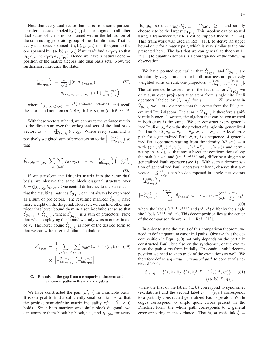Note that every dual vector that starts from some particular reference state labeled by  $(k, p)$ , is orthogonal to all other dual states which is not contained within the left action of the commuting generator group of the Hamiltonian. That is, every dual space spanned  $|(\mathbf{a}, \mathbf{b})_{(\mathbf{k}_0, \mathbf{p}_0)})$  is orthogonal to the one spanned by  $|(a, b)_{(k'_0, p'_0)}|$  if we can't find a  $\bar{\sigma}_{\bar{y}} \sigma_{\bar{x}}$  so that  $\bar{\sigma}_{\mathbf{k}'_0} \sigma_{\mathbf{p}'_0} \propto \bar{\sigma}_{\bar{\mathbf{y}}} \sigma_{\bar{\mathbf{x}}} \bar{\sigma}_{\mathbf{k}_0} \sigma_{\mathbf{p}_0}$ . Hence we have a natural decomposition of the matrix alegbra into dual basis sets. Now, we furthermore introduce the states

$$
\begin{array}{lcl} \left|-\substack{(\nu,\kappa) \\ \mathbf{a} b_{(\mathbf{k}\mathbf{p})_0} } \right) \; = \; \frac{1}{\sqrt{2}} \left( \left| (\mathbf{a},\mathbf{b})_{(\mathbf{k}_0,\mathbf{p}_0)} \right) \right. & (57) \\ & & \; - \; \theta_{(\mathbf{k}_0,\mathbf{p}_0),(-\nu,-\kappa)} \left| (\mathbf{a},\mathbf{b})_{(\mathbf{k}_0,\mathbf{p}_0)}^{(-\nu,-\kappa)} \right) \right), \end{array}
$$

where  $\theta_{(k_0, p_0), (\nu, \kappa)} = e^{\frac{2\pi i}{d} (\langle k_0, \kappa \rangle - \langle p_0, \nu \rangle)},$  and recall the short hand notation  $(\mathbf{a} \oplus \mathbf{e}(\nu), \mathbf{b} \oplus \mathbf{e}(\kappa)) = (\mathbf{a}, \mathbf{b})^{(-\nu, -\kappa)}$ .

With these vectors at hand, we can write the variance matrix as the direct sum over the orthogonal sets of the dual basis vectors as  $\hat{V} = \bigoplus_{\mathbf{(kp)}_0} \hat{V}_{\mathbf{(kp)}_0}$ . Where every summand is positively weighted sum of projectors on to the  $\left| \mathcal{L}_{\mathbf{ab}_{(\mathbf{k}\mathbf{p})_0}}^{(\nu,\kappa)} \right|$  $\log$ that

$$
\hat{\mathcal{V}}_{(\mathbf{kp})_0} = \frac{1}{d^N} \sum_{(\nu,\kappa)} \sum_{(\mathbf{a},\mathbf{b})} \rho_{\mathbf{a}\mathbf{b}} \rho_{(\mathbf{a},\mathbf{b})^{(-\nu,-\kappa)}} \left| -\begin{matrix} (\nu,\kappa) \\ \mathbf{a}\mathbf{b}_{(\mathbf{kp})_0} \end{matrix}\right) \begin{pmatrix} (\nu,\kappa) \\ -\mathbf{a}\mathbf{b}_{(\mathbf{kp})_0} \end{pmatrix}
$$
\n(58)

 $\overline{\phantom{a}}$  $\overline{\phantom{a}}$  $\vert \cdot$ 

If we transform the Dirichlet matrix into the same dual basis, we observe the same block diagonal structure over  $\hat{\mathcal{E}} = \bigoplus_{\mathbf{(kp)}_0} \hat{\mathcal{E}}_{\mathbf{(kp)}_0}$ . One central difference to the variance is that the resulting matrices  $\hat{\mathcal{E}}_{k(\mathbf{k}\mathbf{p})0}$  can not always be expressed as a sum of projectors. The resulting matrices  $\hat{\mathcal{E}}_{\textbf{(kp)}_0}$  have more weight on the diagonal. However, we can find other matrices that lower bound them in a semi-definite sense so that  $\hat{\mathcal{E}}_{(\mathbf{kp})_0} \ge \hat{\mathcal{E}}'_{(\mathbf{kp})_0}$ , where  $\hat{\mathcal{E}}'_{(\mathbf{kp})_0}$  is a sum of projectors. Note that when employing this bound we only worsen our estimate of  $\tau$ . The lower bound  $\hat{\mathcal{E}}'_{\left(\mathbf{k}\mathbf{p}\right)_0}$  is now of the desired form so that we can write after a similar calculation:

$$
\hat{\mathcal{E}}'_{(\mathbf{kp})_0} = \frac{1}{4} \sum_{j,(l_j,m_j)} \sum_{(\mathbf{a},\mathbf{b})} \rho_{\mathbf{a}\mathbf{b}} \gamma(\omega^{(l_j,m_j)}(\mathbf{a}, \mathbf{b})) \quad (59)
$$

$$
\times \left| -\begin{matrix} (l_j,m_j) \\ \mathbf{a}\mathbf{b}_{(\mathbf{k}\mathbf{p})_0} \end{matrix} \right) \left( -\begin{matrix} (l_j,m_j) \\ \mathbf{a}\mathbf{b}_{(\mathbf{k}\mathbf{p})_0} \end{matrix} \right|.
$$

#### C. Bounds on the gap from a comparison theorem and canonical paths in the matrix algebra

We have constructed the pair  $(\hat{\mathcal{E}}', \hat{\mathcal{V}})$  in a suitable basis. It is our goal to find a sufficiently small constant  $\tau$  so that the positive semi-definite matrix inequality  $\tau \hat{\mathcal{E}}' - \hat{\mathcal{V}} \geq 0$ holds. Since both matrices are jointly block diagonal, we can compare them block-by-block, i.e., find  $\tau_{(kp)_0}$  for every

 $(\mathbf{k}_0, \mathbf{p}_0)$  so that  $\tau_{(\mathbf{k}\mathbf{p})_0} \hat{\mathcal{E}}'_{(\mathbf{k}\mathbf{p})_0} - \hat{\mathcal{V}}_{(\mathbf{k}\mathbf{p})_0} \geq 0$  and simply choose  $\tau$  to be the largest  $\tau_{(kp)_0}$ . This problem can be solved using a framework which is called support theory [23, 24]. This framework was used in Ref. [13], to derive an upper bound on  $\tau$  for a matrix pair, which is very similar to the one presented here. The fact that we can generalize theorem 11 in [13] to quantum doubles is a consequence of the following observation:

We have pointed out earlier that  $\hat{\mathcal{E}}'_{(kp)_0}$  and  $\hat{\mathcal{V}}_{(kp)_0}$  are structurally very similar in that both matrices are positively weighted sums of rank one projectors  $| - \begin{bmatrix} \nu, \kappa \\ ab_{(kp)_0} \end{bmatrix} \cdot \begin{bmatrix} \nu, \kappa \\ ab_{(kp)_0} \end{bmatrix}$ . The difference, however, lies in the fact that for  $\hat{\mathcal{E}}'_{(kp)_0}$  we only sum over projectors that stem from single site Pauli operators labeled by  $(l_j, m_j)$  for  $j = 1...N$ , whereas in  $\hat{V}_{(kp)_0}$  we sum over projectors that come from the full generalized Pauli algebra. The sum in  $\hat{V}_{\mathbf{(kp)}_0}$  is therefore significantly bigger. However, the algebra that can be constructed in both cases is the same. We can construct every generalized Pauli  $\bar{\sigma}_{\nu}\sigma_{\kappa}$  from the the product of single site generalized Pauli so that  $\bar{\sigma}_{\nu}\sigma_{\kappa} = \bar{\sigma}_{l^1}\dots\bar{\sigma}_{l^{|\nu|}}\sigma_{m^1}\dots\sigma_{m^{|\kappa|}}$ . A local error path for a generalized Pauli  $\bar{\sigma}_{\nu} \sigma_{\kappa}$  is a sequence of generalized Pauli operators starting from the identity  $(\nu^0, \kappa^0) = 0$ with  $((\nu^0, \kappa^0),(\nu^1, \kappa^1), \ldots, (\nu^t, \kappa^t), \ldots, (\nu, \kappa))$  and terminating in  $(\nu, \kappa)$ , so that any subsequent configurations along the path  $(\nu^t, \kappa^t)$  and  $(\nu^{t+1}, \kappa^{t+1})$  only differ by a single site generalized Pauli operator (see 1). With such a decomposition of generalized Pauli operators at hand, observe that any vector  $| - \mathbf{a}^{(\nu,\kappa)}_{\mathbf{a}^{(\mathbf{k}_{\mathbf{p}})}_0}$ ) can be decomposed in single site vectors  $\left| -\frac{\left( l_{j},m_{j}\right) }{\mathbf{a}\mathbf{b}_{\left( \mathbf{k}\mathbf{p}\right) _{0}}} \right|$  $\mathbf{a}\mathbf{b_{(kp)}}_0$  $\big)$  as

$$
| - \mathbf{a}_{\mathbf{a}_{(k_{\mathbf{p}})_{0}}}^{(\nu,\kappa)} \rangle = \sum_{t=0}^{\mathit{t}_{max}-1} \theta_{(k_{0},p_{0}),(-\nu^{t+1},-\kappa^{t+1})} | - \mathbf{a}_{(\mathbf{a},\mathbf{b})}^{(l^{t+1},m^{t+1})}_{(\mathbf{a},\mathbf{b})}^{(-\nu^{t},-\kappa^{t})}, \tag{60}
$$

where the labels  $(\nu^{t+1}, \kappa^{t+1})$  and  $(\nu^t, \kappa^t)$  differ by the single site labels  $(l^{t+1}, m^{t+1})$ . This decomposition lies at the center of the comparison theorem 11 in Ref. [13].

In order to state the result of this comparison theorem, we need to define quantum canonical paths. Observe that the decomposition in Eqn. (60) not only depends on the partially constructed Pauli, but also on the syndromes, or the excitations the path starts from initially. To obtain a valid decomposition we need to keep track of the excitations as well. We therefore define a *quantum canonical path* to consist of a series of labels

$$
\hat{\eta}_{(a,b)} = [\{(a,b),0\}, \{(a,b)^{(-\nu^1,-\kappa^1)}, (\nu^1,\kappa^1)\}, \quad (61) \\ \dots \{(a,b)^{-\eta},\eta\}],
$$

where the first of the labels  $(a, b)$  correspond to syndromes (excitations) and the second label  $\eta = (\nu, \kappa)$  corresponds to a partially constructed generalized Pauli operator. While edges correspond to single qudit errors present in the Dirichlet form, the whole path corresponds to a general error appearing in the variance. That is, at each link  $\zeta =$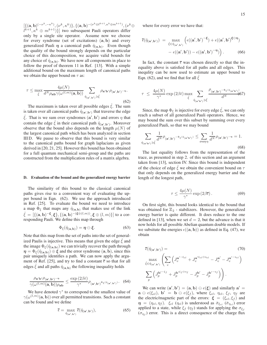$\left[ \{({\bf a},{\bf b})^{(-\nu^k,-\kappa^k)},(\nu^k,\kappa^k)\},\{({\bf a},{\bf b})^{-(\nu^k\oplus l^{k+1},\kappa^k\oplus m^{k+1})},(\nu^k\oplus) \right]$  $(l^{k+1}, \kappa^k \oplus m^{k+1})$ } two subsequent Pauli operators differ only by a single site operator. Assume now we choose for every syndrome (set of excitations)  $(a, b)$  and every generalized Pauli  $\eta$  a canonical path  $\hat{\eta}_{(a,b)}$ . Even though the quality of the bound strongly depends on the particular choice of this decomposition, we acquire valid bounds for any choice of  $\hat{\eta}_{(a,b)}$ . We have now all components in place to follow the proof of theorem 11 in Ref. [13]. With a simple additional bound on the maximum length of canonical paths we obtain the upper bound on  $\tau$  as:

$$
\tau \le \max_{\hat{\xi}} \frac{4\mu(N)}{d^N \rho_{\mathbf{a}\mathbf{b}} \gamma(\omega^{(l,m)}(\mathbf{a}, \mathbf{b}))} \sum_{\hat{\eta}_{(\mathbf{a}', \mathbf{b}')} \ni \hat{\xi}} \rho_{\mathbf{a}' \mathbf{b}'} \rho_{(\mathbf{a}', \mathbf{b}')} - \eta.
$$
\n(62)

The maximum is taken over all possible edges  $\hat{\xi}$ . The sum is taken over all canonical paths  $\hat{\eta}_{(a',b')}$  that traverse the edge  $\hat{\xi}$ . That is we sum over syndromes  $(\mathbf{a}', \mathbf{b}')$  and errors  $\eta$  that contain the edge  $\hat{\xi}$  in their canonical path  $\hat{\eta}_{(a',b')}$ . Moreover observe that the bound also depends on the length  $\mu(N)$  of the largest canonical path which has been analyzed in section III D. We pause to observe that this bound is very similar to the canonical paths bound for graph laplacians as given derived in [20, 21, 25]. However this bound has been obtained for a full quantum mechanical semi-group and the paths are constructed from the multiplication rules of a matrix algebra.

#### D. Evaluation of the bound and the generalized energy barrier

The similarity of this bound to the classical canonical paths gives rise to a convenient way of evaluating the upper bound in Eqn. (62). We use the approach introduced in Ref. [25]. To evaluate the bound we need to introduce a map  $\Phi_{\xi}$  that maps any  $\hat{\eta}_{(a,b)}$  that makes use of the link  $\hat{\xi} = [\{({\bf a},{\bf b})^{-\xi},\xi\},\{({\bf a},{\bf b})^{-(\xi \oplus (l,m))},\xi \oplus (l,m)\}]$  to a corresponding Pauli. We define this map through

$$
\Phi_{\xi}(\hat{\eta}_{(\mathbf{a},\mathbf{b})}) = \eta \ominus \xi. \tag{63}
$$

Note that this map from the set of paths into the set of generalized Paulis is injective. This means that given the edge  $\xi$  and the image  $\Phi_{\xi}(\hat{\eta}_{(a,b)})$  we can trivially recover the path through  $\eta = \Phi_{\xi}(\hat{\eta}_{(a,b)}) \oplus \xi$  and the error syndrome  $(a, b)$ , since this pair uniquely identifies a path. We can now apply the argument of Ref. [25], and try to find a constant  $\bar{\epsilon}$  so that for all edges  $\hat{\xi}$  and all paths  $\hat{\eta}_{({\bf a},{\bf b})}$  the following inequality holds

$$
\frac{\rho_{\mathbf{a'}\mathbf{b'}}\rho_{(\mathbf{a'},\mathbf{b'})-\eta}}{\gamma(\omega^{(l,m)}(\mathbf{a},\mathbf{b}))\rho_{\mathbf{a}\mathbf{b}}} \le \frac{\exp\left(2\beta\bar{\epsilon}\right)}{\gamma^*}\rho_{(\mathbf{a'},\mathbf{b'})^{\Phi_{\xi}(\hat{\eta}_{(\mathbf{a'},\mathbf{b'})})}}.\tag{64}
$$

We have denoted  $\gamma^*$  to correspond to the smallest value of  $\gamma(\omega^{(l,m)}(\mathbf{a},\mathbf{b}))$  over all permitted transitions. Such a constant can be found and we define

$$
\overline{\epsilon} = \max_{\hat{\eta}_{(\mathbf{a}',\mathbf{b}')}} \overline{\epsilon}(\hat{\eta}_{(\mathbf{a}',\mathbf{b}')}),\tag{65}
$$

where for every error we have that:

$$
\overline{\epsilon}(\hat{\eta}_{(\mathbf{a}',\mathbf{b}')}) = \max_{\hat{\xi} \in \hat{\eta}_{(\mathbf{a}',\mathbf{b}')}} \left( \epsilon((\mathbf{a}',\mathbf{b}')^{-\xi}) + \epsilon((\mathbf{a}',\mathbf{b}')^{\xi \ominus \eta} \right) - \epsilon((\mathbf{a}',\mathbf{b}')) - \epsilon((\mathbf{a}',\mathbf{b}')^{-\eta}) \right). \tag{66}
$$

In fact, the constant  $\bar{\epsilon}$  was chosen directly so that the inequality above is satisfied for all paths and all edges. This inequlity can be now used to estimate an upper bound to Eqn. (62), and we find that for all  $\xi$ 

$$
\tau \ \leq \ \frac{4 \mu(N)}{\gamma^*} \exp{(2 \beta \bar{\epsilon})} \max_{\hat{\xi}} \sum_{\hat{\eta}_{(\mathbf{a}' \mathbf{b}')^{\supset \hat{\xi}}} \hat{\epsilon}} \frac{\rho_{(\mathbf{a}', \mathbf{b}')^{-\Phi_{\xi}(\hat{\eta}_{(\mathbf{a}' \mathbf{b}')})}}}{d^N} (67)
$$

Since, the map  $\Phi_{\xi}$  is injective for every edge  $\hat{\xi}$ , we can only reach a subset of all generalized Pauli operators. Hence, we may bound the sum over this subset by summing over every generalized Pauli, so that we may bound

$$
\sum_{\hat{\eta}_{(\mathbf{a'}\mathbf{b'})}\ni\hat{\xi}}\frac{1}{d^N}\rho_{(\mathbf{a'},\mathbf{b'})^{-\Phi_{\xi}(\hat{\eta}_{(\mathbf{a'}\mathbf{b'})})}} \le \sum_{\text{every}\eta}\frac{1}{d^N}\rho_{(\mathbf{a'},\mathbf{b'})^{-\eta}} = 1.
$$
\n(68)

The last equality follows from the representation of the trace, as presented in step 2. of this section and an argument taken from [13], section IV. Since this bound is independent of the choice of edge  $\zeta$  we obtain the convenient bound on  $\tau$ that only depends on the generalized energy barrier and the length of the longest path,

$$
\tau \le \frac{4\mu(N)}{\gamma^*} \exp\left(2\beta \overline{\epsilon}\right). \tag{69}
$$

On first sight, this bound looks identical to the bound that was obtained for  $\mathbb{Z}_2$  - stabilizers. However, the generalized energy barrier is quite different. It does reduce to the one defined in [13], when we set  $d = 2$ , but the advance is that it now holds for all possible Abelian quantum double models. If we subsitute the energies  $\epsilon((a, b))$  as defined in Eq. (47), we obtain

$$
\overline{\epsilon}(\hat{\eta}_{(\mathbf{a}',\mathbf{b}')}) = (70)
$$
\n
$$
\max_{\hat{\xi} \in \hat{\eta}_{(\mathbf{a}',\mathbf{b}')}} \left( \sum_{v} \left( J_v^{\mathbf{a}' - \xi_{el}} + J_v^{\mathbf{a}' \xi_{el} \ominus \eta_{el}} - J_v^{\mathbf{a}'} - J_v^{\mathbf{a}' - \eta_{el}} \right) \right)
$$
\n
$$
\sum_{p} \left( J_p^{\mathbf{b}' - \xi_f} + J_p^{\mathbf{b}' \xi_f \ominus \eta_f} - J_p^{\mathbf{b}'} - J_p^{\mathbf{b}' - \eta_f} \right) \right).
$$
\n(70)

We can write  $(\mathbf{a}', \mathbf{b}') = (\mathbf{a}, \mathbf{b}) \oplus e(\xi)$  and similarly  $\mathbf{a}' =$  $\mathbf{a} \in e(\xi_{el}), \mathbf{b}' = \mathbf{b} \oplus e(\xi_f)$ , where  $\xi_{el}, \eta_{el}, \xi_f, \eta_f$  are the electric/magnetic part of the errors:  $\xi = (\xi_{el}, \xi_f)$  and  $\eta = (\eta_{el}, \eta_f)$ .  $\xi_{el}$  ( $\eta_{el}$ ) is understood as  $\bar{\sigma}_{\xi_{el}}$  ( $\bar{\sigma}_{\eta_{el}}$ ) error applied to a state, while  $\xi_f$  ( $\eta_f$ ) stands for applying the  $\sigma_{\xi_f}$  $(\sigma_{\eta_f})$  error. This is a direct consequence of the charge flux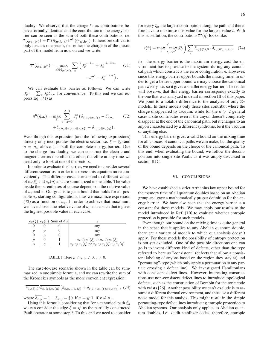duality. We observe, that the charge / flux contributions behave formally identical and the contribution to the energy barrier can be seen as the sum of both these contributions, i.e.  $\overline{\epsilon}(\hat{\eta}_{({\bf a'},{\bf b'})})=\overline{\epsilon}^{\bf a}(\hat{\eta}_{({\bf a'},{\bf b'})})+\overline{\epsilon}^{\bf b}(\hat{\eta}_{({\bf a'},{\bf b'})}).$  It therefore suffices to only discuss one sector, i.e. either the chargeon of the fluxon part of the model from now on and we write:

$$
\overline{\epsilon}^{\mathbf{a}}(\hat{\eta}_{(\mathbf{a}',\mathbf{b}')}) = \max_{\hat{\xi} \in \hat{\eta}_{(\mathbf{a}',\mathbf{b}')} } \sum_{v} \left( J_v^{\mathbf{a}'^{-\xi_{el}}} + J_v^{\mathbf{a}'^{\xi_{el} \ominus \eta_{el}}} - J_v^{\mathbf{a}' - \eta_{el}} \right) . \tag{71}
$$

We can evaluate this barrier as follows: We can write  $J_v^{\alpha} = \sum_z J_v^z \delta_{z,\alpha}$  for convenience. To this end we can express Eq. (71) as

$$
\overline{\epsilon}^{\mathbf{a}}(\hat{\eta}_{\mathbf{a}\mathbf{b}}) = \max_{\xi} \sum_{v \;:\; z=0}^{d-1} J_v^z \left( \delta_{z,a_v \oplus e_v(\xi)} - \delta_{z,a_v} \right) \qquad (72)
$$

$$
+ \delta_{z,a_v \oplus e_v(\eta) \ominus e_v(\xi)} - \delta_{z,a_v \oplus e_v(\eta)} \right).
$$

Even though this expression (and the following expressions) directly only incorporates the electric sector, i.e.  $\xi = \xi_{el}$  and  $\eta = \eta_{el}$  above, it is still the complete energy barrier. Due to the charge-flux duality, we can construct the electric and magnetic errors one after the other, therefore at any time we need only to look at one of the sectors.

In order to evaluate this barrier, we need to consider several different scenarios in order to express this equation more conveniently. The different cases correspond to different values of  $e_v(\xi)$  and  $e_v(\eta)$  and are summarized in the table. The value inside the parentheses of course depends on the relative value of  $a_v$  and z. Our goal is to get a bound that holds for all possible  $a_v$  starting configurations, thus we maximize expression (72) as a function of  $a_v$ . In order to achieve that maximum, we have chosen the relative value of  $a<sub>v</sub>$  and z such that it gives the highest possible value in each case.

|                     | $e_v(\xi)$ $ e_v(\eta) $ Sum of $\delta$ 's |                                                                  |
|---------------------|---------------------------------------------|------------------------------------------------------------------|
| U                   |                                             | any                                                              |
| $\,p$               |                                             | any                                                              |
| 0                   |                                             | any                                                              |
| $\boldsymbol{p}$    |                                             | $a_v \oplus e_v(\xi)$ or $a_v \ominus e_v(\xi)$                  |
| $\boldsymbol{\eta}$ |                                             | $a_v \oplus e_v(\xi)$ or $a_v \ominus e_v(\xi) \oplus e_v(\eta)$ |

| TABLE I: Here $p \neq q$ , $p \neq 0$ , $q \neq 0$ . |  |  |  |  |  |  |  |
|------------------------------------------------------|--|--|--|--|--|--|--|
|------------------------------------------------------|--|--|--|--|--|--|--|

The case-to-case scenario shown in the table can be summarized in one simple formula, and we can rewrite the sum of the Kronecker symbols as the more convenient expression:

$$
\overline{\delta_{e_v(\xi),0}} \cdot \overline{\delta_{e_v(\xi),e_v(\eta)}} \left( \delta_{z,a_v \oplus e_v(\xi)} + \delta_{z,a_v \ominus e_v(\xi) \oplus e_v(\eta)} \right), (73)
$$

where  $\overline{\delta_{x,y}} = 1 - \delta_{x,y} = \{0 \text{ if } x = y; 1 \text{ if } x \neq y\}.$ 

Using this formula considering that for a canonical path  $\hat{\eta}_a$ we can consider the edge  $\xi = \eta^t$  as the partially constructed Pauli operator at some step  $t$ . To this end we need to consider for every  $\hat{\eta}_a$  the largest contribution along the path and therefore have to maximise this value for the largest value  $t$ . With this substitution, the contributions  $\bar{\epsilon}^{\mathbf{a}}(\hat{\eta})$  looks like:

$$
\overline{\epsilon}(\hat{\eta}) = \max_{t} \left( \max_{z,v'} J_{v'}^{z} \right) \sum_{v} \overline{\delta_{e_{v}(\overline{\eta}^{t}),0}} \cdot \overline{\delta_{e_{v}(\overline{\eta}^{t}),e_{v}(\eta)}}, \quad (74)
$$

i.e. the energy barrier is the maximum energy cost the environment has to provide to the system during any canonical path which constructs the error configuration  $\eta$ . However, since this energy barrier upper bounds the mixing time, in order to get a better upper bound we may choose the canonical path wisely, i.e. so it gives a smaller energy barrier. The reader will observe, that this energy barrier corresponds exactly to the one that was analyzed in detail in section III of this paper. We point to a notable difference to the analysis of only  $\mathbb{Z}_2$ models. In these models only those sites contribut where the charge disappeared to vacuum, while for the  $d > 2$  general cases a site contributes even if the anyon doesn't completely disappear at the end of the canonical path, but it changes to an anyon characterized by a different syndrome, be it the vacuum or anything else.

This energy barrier gives a valid bound on the mixing time for all choices of canonical paths we can make, but the quality of the bound depends on the choice of the canonical path. To this end, when evaluating the bound, we follow the decomposition into single site Paulis as it was amply discussed in section III C.

#### VI. CONCLUSIONS

We have established a strict Arrhenius law upper bound for the memory time of all quantum doubles based on an Abelian group and gave a mathematically proper definition for the energy barrier. We have also seen that the energy barrier is a constant for these models. We may apply our results to the model introduced in Ref. [10] to evaluate whether entropic protection is possible for such models.

Even though our bound on the mixing time is quite general in the sense that it applies to any Abelian quantum double, there are a variety of models to which our analysis doesn't apply. For these models the possibility of entropy protection is not yet excluded. One of the possible directions one can go is to invent different kind of defects, other than the type referred to here as "consistent" (defects that allow a consistent labeling of anyons based on the region they stay at) and "permuting"-type (which only apply a permutation to any particle crossing a defect line). We investigated Hamiltonians with consistent defect lines. However, interesting constructions use non-consistent defect lines to introduce topological defects, such as the construction of Bombin for the toric code with twists [26]. Another possibility we can't exclude is to assume a different thermal environment, and thus use a different noise model for this analyis. This might result in the simple permuting-type defect lines introducing entropic protection to Abelian systems. Our analysis only applies to Abelian quantum doubles, i.e. qudit stabilizer codes, therefore, entropic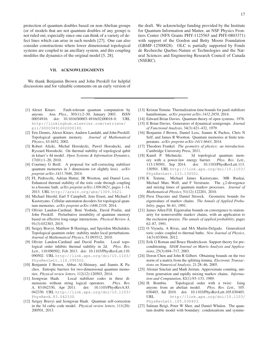protection of quantum doubles based on non-Abelian groups (or of models that are not quantum doubles of any group) is not ruled out, especially since one can think of a variety of defect lines which can arise in such models [27]. One can also consider constructions where lower dimensional topological systems are coupled to an ancillary system, and this coupling modifies the dynamics of the original model [5, 28].

# VII. ACKNOWLEDGMENTS

We thank Benjamin Brown and John Preskill for helpful discussions and for valuable comments on an early version of

- [1] Alexei Kitaev. Fault-tolerant quantum computation by anyons. *Ann. Phys.*, 303(1):2–30, January 2003. ISSN 00034916. doi: 10.1016/S0003-4916(02)00018-0. URL http://linkinghub.elsevier.com/retrieve/ pii/S0003491602000180.
- [2] Eric Dennis, Alexei Kitaev, Andrew Landahl, and John Preskill. Topological quantum memory. *Journal of Mathematical Physics*, 43:4452, 2002.
- [3] Robert Alicki, Michal Horodecki, Pawel Horodecki, and Ryszard Horodecki. On thermal stability of topological qubit in kitaev's 4d model. *Open Systems & Information Dynamics*, 17(01):1–20, 2010.
- [4] Courtney G Brell. A proposal for self-correcting stabilizer quantum memories in 3 dimensions (or slightly less). *arXiv preprint arXiv:1411.7046*, 2014.
- [5] FL Pedrocchi, Adrian Hutter, JR Wootton, and Daniel Loss. Enhanced thermal stability of the toric code through coupling to a bosonic bath. *arXiv preprint arXiv:1309.0621*, pages 1–14, 2013. URL http://arxiv.org/abs/1309.0621.
- [6] Michael Herold, Earl T Campbell, Jens Eisert, and Michael J Kastoryano. Cellular-automaton decoders for topological quantum memories. *arXiv preprint arXiv:1406.2338*, 2014.
- [7] Olivier Landon-Cardinal, Beni Yoshida, David Poulin, and John Preskill. Perturbative instability of quantum memory based on effective long-range interactions. *Physical Review A*, 91(3):032303, 2015.
- [8] Sergey Bravyi, Matthew B Hastings, and Spyridon Michalakis. Topological quantum order: stability under local perturbations. *Journal of Mathematical Physics*, 51:093512, 2010.
- [9] Olivier Landon-Cardinal and David Poulin. Local topological order inhibits thermal stability in 2d. *Phys. Rev. Lett.*, 110:090502, Feb 2013. doi: 10.1103/PhysRevLett.110. 090502. URL http://link.aps.org/doi/10.1103/ PhysRevLett.110.090502.
- [10] Benjamin J Brown, Abbas Al-Shimary, and Jiannis K Pachos. Entropic barriers for two-dimensional quantum memories. *Physical review letters*, 112(12):120503, 2014.
- [11] Jeongwan Haah. Local stabilizer codes in three dimensions without string logical operators. *Phys. Rev. A*, 83:042330, Apr 2011. doi: 10.1103/PhysRevA.83. 042330. URL http://link.aps.org/doi/10.1103/ PhysRevA.83.042330.
- [12] Sergey Bravyi and Jeongwan Haah. Quantum self-correction in the 3d cubic code model. *Physical review letters*, 111(20): 200501, 2013.

the draft. We acknowledge funding provided by the Institute for Quantum Information and Matter, an NSF Physics Frontiers Center (NFS Grants PHY-1125565 and PHY-0803371) with support of the Gordon and Betty Moore Foundation (GBMF-12500028). OLC is partially supported by Fonds de Recherche Quebec-Nature et Technologies and the Natural Sciences and Engineering Research Council of Canada (NSERC).

- [13] Kristan Temme. Thermalization time bounds for pauli stabilizer hamiltonians. *arXiv preprint arXiv:1412.2858*, 2014.
- [14] Edward Brian Davies. Quantum theory of open systems. 1976.
- [15] E Brian Davies. Generators of dynamical semigroups. *Journal of Functional Analysis*, 34(3):421–432, 1979.
- [16] Benjamin J Brown, Daniel Loss, Jiannis K Pachos, Chris N Self, and James R Wootton. Quantum memories at finite temperature. *arXiv preprint arXiv:1411.6643*, 2014.
- [17] Theodore Frankel. *The geometry of physics: an introduction*. Cambridge University Press, 2011.
- [18] Kamil P. Michnicki. 3d topological quantum memory with a power-law energy barrier. *Phys. Rev. Lett.*, 113:130501, Sep 2014. doi: 10.1103/PhysRevLett.113. 130501. URL http://link.aps.org/doi/10.1103/ PhysRevLett.113.130501.
- [19] K Temme, Michael James Kastoryano, MB Ruskai, Michael Marc Wolf, and F Verstraete. The  $\chi$ 2-divergence and mixing times of quantum markov processes. *Journal of Mathematical Physics*, 51(12):122201, 2010.
- [20] Persi Diaconis and Daniel Stroock. Geometric bounds for eigenvalues of markov chains. *The Annals of Applied Probability*, pages 36–61, 1991.
- [21] James Allen Fill. Eigenvalue bounds on convergence to stationarity for nonreversible markov chains, with an application to the exclusion process. *The annals of applied probability*, pages 62–87, 1991.
- [22] O Viyuela, A Rivas, and MA Martin-Delgado. Generalized toric codes coupled to thermal baths. *New Journal of Physics*, 14(3):033044, 2012.
- [23] Erik G Boman and Bruce Hendrickson. Support theory for preconditioning. *SIAM Journal on Matrix Analysis and Applications*, 25(3):694–717, 2003.
- [24] Doron Chen and John R Gilbert. Obtaining bounds on the two norm of a matrix from the splitting lemma. *Electronic Transactions on Numerical Analysis*, 21:28–46, 2005.
- [25] Alistair Sinclair and Mark Jerrum. Approximate counting, uniform generation and rapidly mixing markov chains. *Information and Computation*, 82(1):93–133, 1989.
- [26] H. Bombin. Topological order with a twist: Ising anyons from an abelian model. *Phys. Rev. Lett.*, 105: 030403, Jul 2010. doi: 10.1103/PhysRevLett.105.030403. URL http://link.aps.org/doi/10.1103/ PhysRevLett.105.030403.
- [27] Salman Beigi, Peter W Shor, and Daniel Whalen. The quantum double model with boundary: condensations and symme-